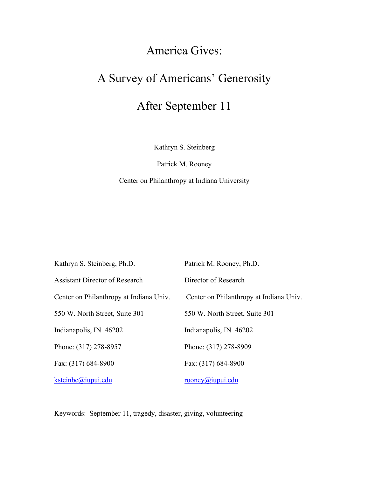# America Gives:

# A Survey of Americans' Generosity

# After September 11

Kathryn S. Steinberg

Patrick M. Rooney

Center on Philanthropy at Indiana University

| Kathryn S. Steinberg, Ph.D.             | Patrick M. Rooney, Ph.D.                |
|-----------------------------------------|-----------------------------------------|
| <b>Assistant Director of Research</b>   | Director of Research                    |
| Center on Philanthropy at Indiana Univ. | Center on Philanthropy at Indiana Univ. |
| 550 W. North Street, Suite 301          | 550 W. North Street, Suite 301          |
| Indianapolis, IN 46202                  | Indianapolis, IN 46202                  |
| Phone: (317) 278-8957                   | Phone: (317) 278-8909                   |
| Fax: (317) 684-8900                     | Fax: (317) 684-8900                     |
| ksteinbe@iupui.edu                      | rooney@iupui.edu                        |

Keywords: September 11, tragedy, disaster, giving, volunteering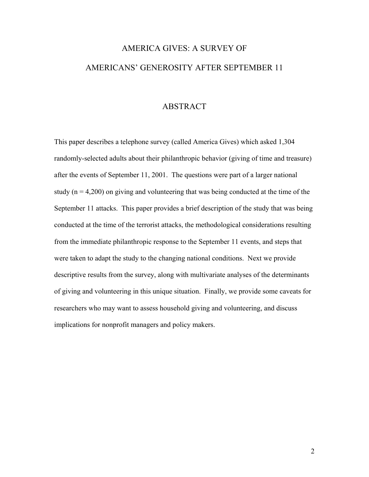# AMERICA GIVES: A SURVEY OF AMERICANS' GENEROSITY AFTER SEPTEMBER 11

#### ABSTRACT

This paper describes a telephone survey (called America Gives) which asked 1,304 randomly-selected adults about their philanthropic behavior (giving of time and treasure) after the events of September 11, 2001. The questions were part of a larger national study ( $n = 4,200$ ) on giving and volunteering that was being conducted at the time of the September 11 attacks. This paper provides a brief description of the study that was being conducted at the time of the terrorist attacks, the methodological considerations resulting from the immediate philanthropic response to the September 11 events, and steps that were taken to adapt the study to the changing national conditions. Next we provide descriptive results from the survey, along with multivariate analyses of the determinants of giving and volunteering in this unique situation. Finally, we provide some caveats for researchers who may want to assess household giving and volunteering, and discuss implications for nonprofit managers and policy makers.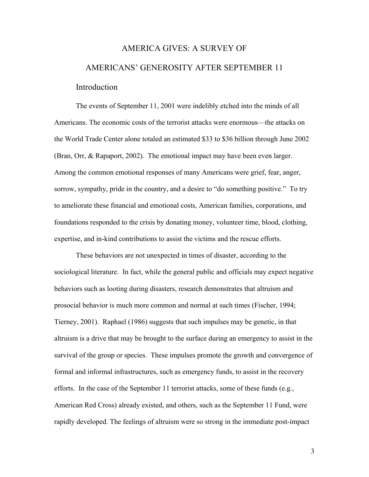# AMERICA GIVES: A SURVEY OF AMERICANS' GENEROSITY AFTER SEPTEMBER 11 Introduction

The events of September 11, 2001 were indelibly etched into the minds of all Americans. The economic costs of the terrorist attacks were enormous—the attacks on the World Trade Center alone totaled an estimated \$33 to \$36 billion through June 2002 (Bran, Orr, & Rapaport, 2002). The emotional impact may have been even larger. Among the common emotional responses of many Americans were grief, fear, anger, sorrow, sympathy, pride in the country, and a desire to "do something positive." To try to ameliorate these financial and emotional costs, American families, corporations, and foundations responded to the crisis by donating money, volunteer time, blood, clothing, expertise, and in-kind contributions to assist the victims and the rescue efforts.

These behaviors are not unexpected in times of disaster, according to the sociological literature. In fact, while the general public and officials may expect negative behaviors such as looting during disasters, research demonstrates that altruism and prosocial behavior is much more common and normal at such times (Fischer, 1994; Tierney, 2001). Raphael (1986) suggests that such impulses may be genetic, in that altruism is a drive that may be brought to the surface during an emergency to assist in the survival of the group or species. These impulses promote the growth and convergence of formal and informal infrastructures, such as emergency funds, to assist in the recovery efforts. In the case of the September 11 terrorist attacks, some of these funds (e.g., American Red Cross) already existed, and others, such as the September 11 Fund, were rapidly developed. The feelings of altruism were so strong in the immediate post-impact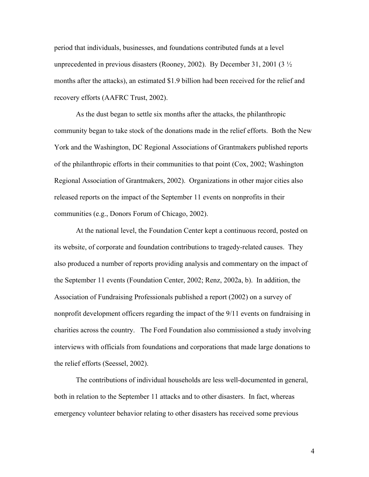period that individuals, businesses, and foundations contributed funds at a level unprecedented in previous disasters (Rooney, 2002). By December 31, 2001 (3  $\frac{1}{2}$ ) months after the attacks), an estimated \$1.9 billion had been received for the relief and recovery efforts (AAFRC Trust, 2002).

As the dust began to settle six months after the attacks, the philanthropic community began to take stock of the donations made in the relief efforts. Both the New York and the Washington, DC Regional Associations of Grantmakers published reports of the philanthropic efforts in their communities to that point (Cox, 2002; Washington Regional Association of Grantmakers, 2002). Organizations in other major cities also released reports on the impact of the September 11 events on nonprofits in their communities (e.g., Donors Forum of Chicago, 2002).

At the national level, the Foundation Center kept a continuous record, posted on its website, of corporate and foundation contributions to tragedy-related causes. They also produced a number of reports providing analysis and commentary on the impact of the September 11 events (Foundation Center, 2002; Renz, 2002a, b). In addition, the Association of Fundraising Professionals published a report (2002) on a survey of nonprofit development officers regarding the impact of the 9/11 events on fundraising in charities across the country. The Ford Foundation also commissioned a study involving interviews with officials from foundations and corporations that made large donations to the relief efforts (Seessel, 2002).

The contributions of individual households are less well-documented in general, both in relation to the September 11 attacks and to other disasters. In fact, whereas emergency volunteer behavior relating to other disasters has received some previous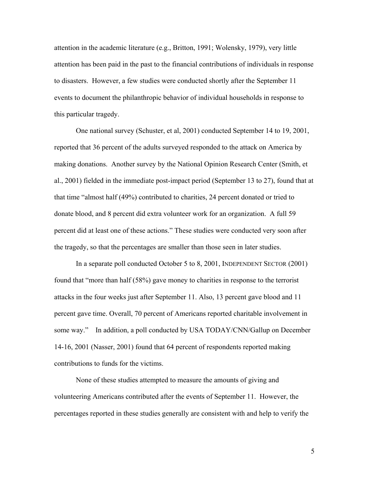attention in the academic literature (e.g., Britton, 1991; Wolensky, 1979), very little attention has been paid in the past to the financial contributions of individuals in response to disasters. However, a few studies were conducted shortly after the September 11 events to document the philanthropic behavior of individual households in response to this particular tragedy.

One national survey (Schuster, et al, 2001) conducted September 14 to 19, 2001, reported that 36 percent of the adults surveyed responded to the attack on America by making donations. Another survey by the National Opinion Research Center (Smith, et al., 2001) fielded in the immediate post-impact period (September 13 to 27), found that at that time "almost half (49%) contributed to charities, 24 percent donated or tried to donate blood, and 8 percent did extra volunteer work for an organization. A full 59 percent did at least one of these actions." These studies were conducted very soon after the tragedy, so that the percentages are smaller than those seen in later studies.

In a separate poll conducted October 5 to 8, 2001, INDEPENDENT SECTOR (2001) found that "more than half (58%) gave money to charities in response to the terrorist attacks in the four weeks just after September 11. Also, 13 percent gave blood and 11 percent gave time. Overall, 70 percent of Americans reported charitable involvement in some way." In addition, a poll conducted by USA TODAY/CNN/Gallup on December 14-16, 2001 (Nasser, 2001) found that 64 percent of respondents reported making contributions to funds for the victims.

None of these studies attempted to measure the amounts of giving and volunteering Americans contributed after the events of September 11. However, the percentages reported in these studies generally are consistent with and help to verify the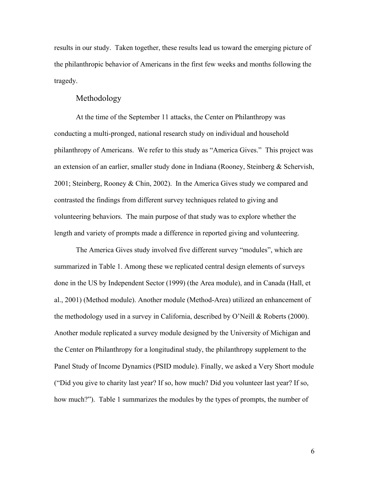results in our study. Taken together, these results lead us toward the emerging picture of the philanthropic behavior of Americans in the first few weeks and months following the tragedy.

#### Methodology

At the time of the September 11 attacks, the Center on Philanthropy was conducting a multi-pronged, national research study on individual and household philanthropy of Americans. We refer to this study as "America Gives." This project was an extension of an earlier, smaller study done in Indiana (Rooney, Steinberg & Schervish, 2001; Steinberg, Rooney & Chin, 2002). In the America Gives study we compared and contrasted the findings from different survey techniques related to giving and volunteering behaviors. The main purpose of that study was to explore whether the length and variety of prompts made a difference in reported giving and volunteering.

The America Gives study involved five different survey "modules", which are summarized in Table 1. Among these we replicated central design elements of surveys done in the US by Independent Sector (1999) (the Area module), and in Canada (Hall, et al., 2001) (Method module). Another module (Method-Area) utilized an enhancement of the methodology used in a survey in California, described by O'Neill & Roberts (2000). Another module replicated a survey module designed by the University of Michigan and the Center on Philanthropy for a longitudinal study, the philanthropy supplement to the Panel Study of Income Dynamics (PSID module). Finally, we asked a Very Short module ("Did you give to charity last year? If so, how much? Did you volunteer last year? If so, how much?"). Table 1 summarizes the modules by the types of prompts, the number of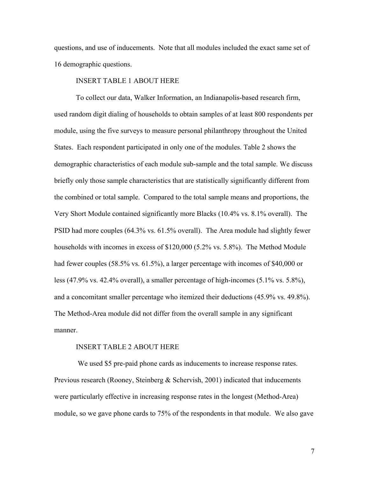questions, and use of inducements. Note that all modules included the exact same set of 16 demographic questions.

#### INSERT TABLE 1 ABOUT HERE

To collect our data, Walker Information, an Indianapolis-based research firm, used random digit dialing of households to obtain samples of at least 800 respondents per module, using the five surveys to measure personal philanthropy throughout the United States. Each respondent participated in only one of the modules. Table 2 shows the demographic characteristics of each module sub-sample and the total sample. We discuss briefly only those sample characteristics that are statistically significantly different from the combined or total sample. Compared to the total sample means and proportions, the Very Short Module contained significantly more Blacks (10.4% vs. 8.1% overall). The PSID had more couples (64.3% vs. 61.5% overall). The Area module had slightly fewer households with incomes in excess of \$120,000 (5.2% vs. 5.8%). The Method Module had fewer couples (58.5% vs. 61.5%), a larger percentage with incomes of \$40,000 or less (47.9% vs. 42.4% overall), a smaller percentage of high-incomes (5.1% vs. 5.8%), and a concomitant smaller percentage who itemized their deductions (45.9% vs. 49.8%). The Method-Area module did not differ from the overall sample in any significant manner.

#### INSERT TABLE 2 ABOUT HERE

 We used \$5 pre-paid phone cards as inducements to increase response rates. Previous research (Rooney, Steinberg & Schervish, 2001) indicated that inducements were particularly effective in increasing response rates in the longest (Method-Area) module, so we gave phone cards to 75% of the respondents in that module. We also gave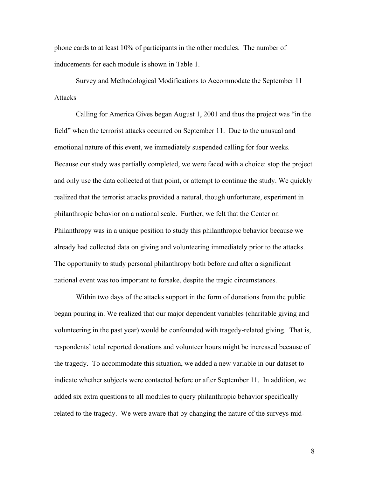phone cards to at least 10% of participants in the other modules. The number of inducements for each module is shown in Table 1.

Survey and Methodological Modifications to Accommodate the September 11 **Attacks** 

Calling for America Gives began August 1, 2001 and thus the project was "in the field" when the terrorist attacks occurred on September 11. Due to the unusual and emotional nature of this event, we immediately suspended calling for four weeks. Because our study was partially completed, we were faced with a choice: stop the project and only use the data collected at that point, or attempt to continue the study. We quickly realized that the terrorist attacks provided a natural, though unfortunate, experiment in philanthropic behavior on a national scale. Further, we felt that the Center on Philanthropy was in a unique position to study this philanthropic behavior because we already had collected data on giving and volunteering immediately prior to the attacks. The opportunity to study personal philanthropy both before and after a significant national event was too important to forsake, despite the tragic circumstances.

Within two days of the attacks support in the form of donations from the public began pouring in. We realized that our major dependent variables (charitable giving and volunteering in the past year) would be confounded with tragedy-related giving. That is, respondents' total reported donations and volunteer hours might be increased because of the tragedy. To accommodate this situation, we added a new variable in our dataset to indicate whether subjects were contacted before or after September 11. In addition, we added six extra questions to all modules to query philanthropic behavior specifically related to the tragedy. We were aware that by changing the nature of the surveys mid-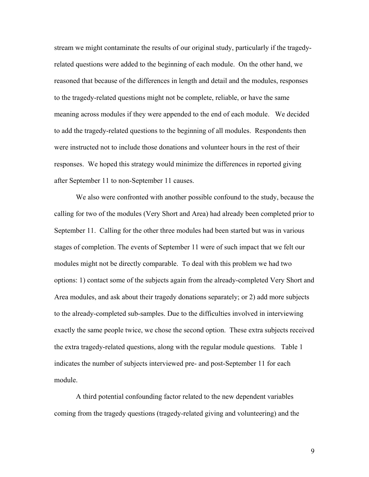stream we might contaminate the results of our original study, particularly if the tragedyrelated questions were added to the beginning of each module. On the other hand, we reasoned that because of the differences in length and detail and the modules, responses to the tragedy-related questions might not be complete, reliable, or have the same meaning across modules if they were appended to the end of each module. We decided to add the tragedy-related questions to the beginning of all modules. Respondents then were instructed not to include those donations and volunteer hours in the rest of their responses. We hoped this strategy would minimize the differences in reported giving after September 11 to non-September 11 causes.

We also were confronted with another possible confound to the study, because the calling for two of the modules (Very Short and Area) had already been completed prior to September 11. Calling for the other three modules had been started but was in various stages of completion. The events of September 11 were of such impact that we felt our modules might not be directly comparable. To deal with this problem we had two options: 1) contact some of the subjects again from the already-completed Very Short and Area modules, and ask about their tragedy donations separately; or 2) add more subjects to the already-completed sub-samples. Due to the difficulties involved in interviewing exactly the same people twice, we chose the second option. These extra subjects received the extra tragedy-related questions, along with the regular module questions. Table 1 indicates the number of subjects interviewed pre- and post-September 11 for each module.

A third potential confounding factor related to the new dependent variables coming from the tragedy questions (tragedy-related giving and volunteering) and the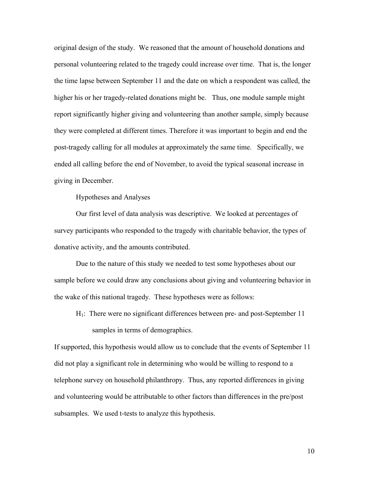original design of the study. We reasoned that the amount of household donations and personal volunteering related to the tragedy could increase over time. That is, the longer the time lapse between September 11 and the date on which a respondent was called, the higher his or her tragedy-related donations might be. Thus, one module sample might report significantly higher giving and volunteering than another sample, simply because they were completed at different times. Therefore it was important to begin and end the post-tragedy calling for all modules at approximately the same time. Specifically, we ended all calling before the end of November, to avoid the typical seasonal increase in giving in December.

Hypotheses and Analyses

Our first level of data analysis was descriptive. We looked at percentages of survey participants who responded to the tragedy with charitable behavior, the types of donative activity, and the amounts contributed.

Due to the nature of this study we needed to test some hypotheses about our sample before we could draw any conclusions about giving and volunteering behavior in the wake of this national tragedy. These hypotheses were as follows:

H1: There were no significant differences between pre- and post-September 11

samples in terms of demographics.

If supported, this hypothesis would allow us to conclude that the events of September 11 did not play a significant role in determining who would be willing to respond to a telephone survey on household philanthropy. Thus, any reported differences in giving and volunteering would be attributable to other factors than differences in the pre/post subsamples. We used t-tests to analyze this hypothesis.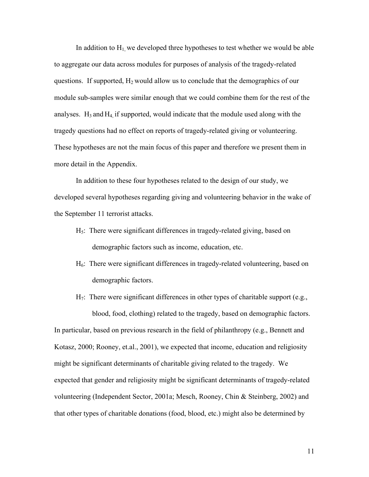In addition to  $H_1$ , we developed three hypotheses to test whether we would be able to aggregate our data across modules for purposes of analysis of the tragedy-related questions. If supported,  $H_2$  would allow us to conclude that the demographics of our module sub-samples were similar enough that we could combine them for the rest of the analyses.  $H_3$  and  $H_4$  if supported, would indicate that the module used along with the tragedy questions had no effect on reports of tragedy-related giving or volunteering. These hypotheses are not the main focus of this paper and therefore we present them in more detail in the Appendix.

 In addition to these four hypotheses related to the design of our study, we developed several hypotheses regarding giving and volunteering behavior in the wake of the September 11 terrorist attacks.

- H5: There were significant differences in tragedy-related giving, based on demographic factors such as income, education, etc.
- H6: There were significant differences in tragedy-related volunteering, based on demographic factors.
- $H_7$ : There were significant differences in other types of charitable support (e.g., blood, food, clothing) related to the tragedy, based on demographic factors.

In particular, based on previous research in the field of philanthropy (e.g., Bennett and Kotasz, 2000; Rooney, et.al., 2001), we expected that income, education and religiosity might be significant determinants of charitable giving related to the tragedy. We expected that gender and religiosity might be significant determinants of tragedy-related volunteering (Independent Sector, 2001a; Mesch, Rooney, Chin & Steinberg, 2002) and that other types of charitable donations (food, blood, etc.) might also be determined by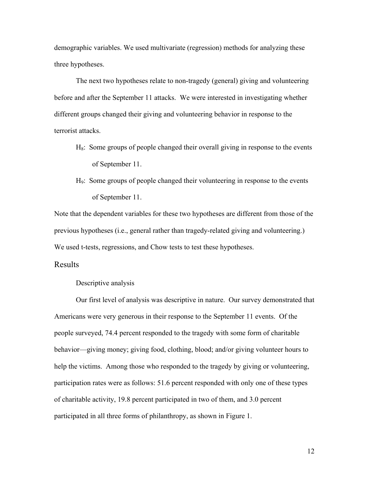demographic variables. We used multivariate (regression) methods for analyzing these three hypotheses.

 The next two hypotheses relate to non-tragedy (general) giving and volunteering before and after the September 11 attacks. We were interested in investigating whether different groups changed their giving and volunteering behavior in response to the terrorist attacks.

- $H_8$ : Some groups of people changed their overall giving in response to the events of September 11.
- H9: Some groups of people changed their volunteering in response to the events of September 11.

Note that the dependent variables for these two hypotheses are different from those of the previous hypotheses (i.e., general rather than tragedy-related giving and volunteering.) We used t-tests, regressions, and Chow tests to test these hypotheses.

#### Results

#### Descriptive analysis

Our first level of analysis was descriptive in nature. Our survey demonstrated that Americans were very generous in their response to the September 11 events. Of the people surveyed, 74.4 percent responded to the tragedy with some form of charitable behavior—giving money; giving food, clothing, blood; and/or giving volunteer hours to help the victims. Among those who responded to the tragedy by giving or volunteering, participation rates were as follows: 51.6 percent responded with only one of these types of charitable activity, 19.8 percent participated in two of them, and 3.0 percent participated in all three forms of philanthropy, as shown in Figure 1.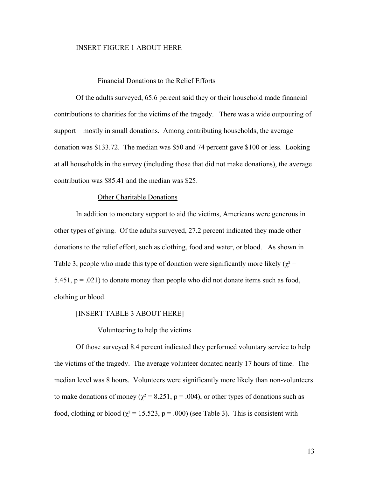#### INSERT FIGURE 1 ABOUT HERE

#### Financial Donations to the Relief Efforts

Of the adults surveyed, 65.6 percent said they or their household made financial contributions to charities for the victims of the tragedy. There was a wide outpouring of support—mostly in small donations. Among contributing households, the average donation was \$133.72. The median was \$50 and 74 percent gave \$100 or less. Looking at all households in the survey (including those that did not make donations), the average contribution was \$85.41 and the median was \$25.

#### Other Charitable Donations

In addition to monetary support to aid the victims, Americans were generous in other types of giving. Of the adults surveyed, 27.2 percent indicated they made other donations to the relief effort, such as clothing, food and water, or blood. As shown in Table 3, people who made this type of donation were significantly more likely ( $\chi^2$  = 5.451,  $p = .021$ ) to donate money than people who did not donate items such as food, clothing or blood.

#### [INSERT TABLE 3 ABOUT HERE]

Volunteering to help the victims

Of those surveyed 8.4 percent indicated they performed voluntary service to help the victims of the tragedy. The average volunteer donated nearly 17 hours of time. The median level was 8 hours. Volunteers were significantly more likely than non-volunteers to make donations of money ( $\chi^2$  = 8.251, p = .004), or other types of donations such as food, clothing or blood ( $\chi^2$  = 15.523, p = .000) (see Table 3). This is consistent with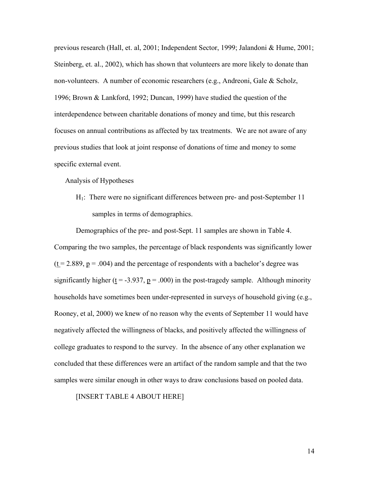previous research (Hall, et. al, 2001; Independent Sector, 1999; Jalandoni & Hume, 2001; Steinberg, et. al., 2002), which has shown that volunteers are more likely to donate than non-volunteers. A number of economic researchers (e.g., Andreoni, Gale & Scholz, 1996; Brown & Lankford, 1992; Duncan, 1999) have studied the question of the interdependence between charitable donations of money and time, but this research focuses on annual contributions as affected by tax treatments. We are not aware of any previous studies that look at joint response of donations of time and money to some specific external event.

Analysis of Hypotheses

H1: There were no significant differences between pre- and post-September 11 samples in terms of demographics.

Demographics of the pre- and post-Sept. 11 samples are shown in Table 4. Comparing the two samples, the percentage of black respondents was significantly lower  $(t = 2.889, p = .004)$  and the percentage of respondents with a bachelor's degree was significantly higher ( $\underline{t}$  = -3.937,  $\underline{p}$  = .000) in the post-tragedy sample. Although minority households have sometimes been under-represented in surveys of household giving (e.g., Rooney, et al, 2000) we knew of no reason why the events of September 11 would have negatively affected the willingness of blacks, and positively affected the willingness of college graduates to respond to the survey. In the absence of any other explanation we concluded that these differences were an artifact of the random sample and that the two samples were similar enough in other ways to draw conclusions based on pooled data.

[INSERT TABLE 4 ABOUT HERE]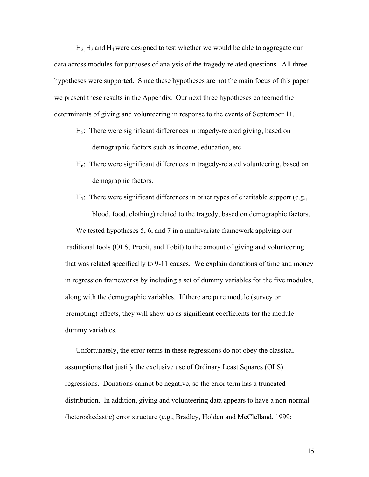$H_2$  H<sub>3</sub> and H<sub>4</sub> were designed to test whether we would be able to aggregate our data across modules for purposes of analysis of the tragedy-related questions. All three hypotheses were supported. Since these hypotheses are not the main focus of this paper we present these results in the Appendix. Our next three hypotheses concerned the determinants of giving and volunteering in response to the events of September 11.

- H5: There were significant differences in tragedy-related giving, based on demographic factors such as income, education, etc.
- H6: There were significant differences in tragedy-related volunteering, based on demographic factors.
- H7: There were significant differences in other types of charitable support (e.g., blood, food, clothing) related to the tragedy, based on demographic factors.

We tested hypotheses 5, 6, and 7 in a multivariate framework applying our traditional tools (OLS, Probit, and Tobit) to the amount of giving and volunteering that was related specifically to 9-11 causes. We explain donations of time and money in regression frameworks by including a set of dummy variables for the five modules, along with the demographic variables. If there are pure module (survey or prompting) effects, they will show up as significant coefficients for the module dummy variables.

Unfortunately, the error terms in these regressions do not obey the classical assumptions that justify the exclusive use of Ordinary Least Squares (OLS) regressions. Donations cannot be negative, so the error term has a truncated distribution. In addition, giving and volunteering data appears to have a non-normal (heteroskedastic) error structure (e.g., Bradley, Holden and McClelland, 1999;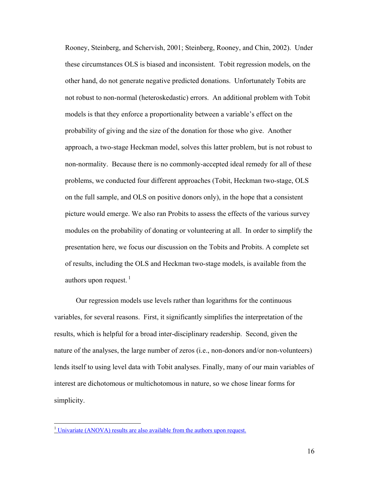Rooney, Steinberg, and Schervish, 2001; Steinberg, Rooney, and Chin, 2002). Under these circumstances OLS is biased and inconsistent. Tobit regression models, on the other hand, do not generate negative predicted donations. Unfortunately Tobits are not robust to non-normal (heteroskedastic) errors. An additional problem with Tobit models is that they enforce a proportionality between a variable's effect on the probability of giving and the size of the donation for those who give. Another approach, a two-stage Heckman model, solves this latter problem, but is not robust to non-normality. Because there is no commonly-accepted ideal remedy for all of these problems, we conducted four different approaches (Tobit, Heckman two-stage, OLS on the full sample, and OLS on positive donors only), in the hope that a consistent picture would emerge. We also ran Probits to assess the effects of the various survey modules on the probability of donating or volunteering at all. In order to simplify the presentation here, we focus our discussion on the Tobits and Probits. A complete set of results, including the OLS and Heckman two-stage models, is available from the authors upon request.  $\frac{1}{1}$ 

Our regression models use levels rather than logarithms for the continuous variables, for several reasons. First, it significantly simplifies the interpretation of the results, which is helpful for a broad inter-disciplinary readership. Second, given the nature of the analyses, the large number of zeros (i.e., non-donors and/or non-volunteers) lends itself to using level data with Tobit analyses. Finally, many of our main variables of interest are dichotomous or multichotomous in nature, so we chose linear forms for simplicity.

 $\overline{a}$ 

<sup>&</sup>lt;sup>1</sup> Univariate (ANOVA) results are also available from the authors upon request.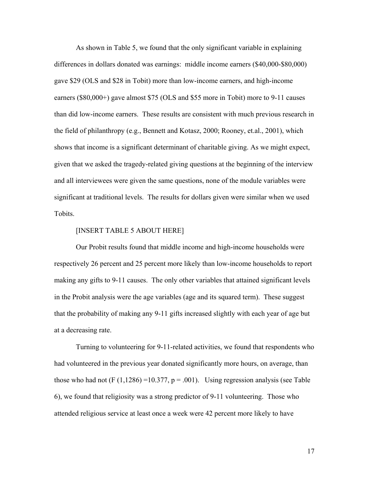As shown in Table 5, we found that the only significant variable in explaining differences in dollars donated was earnings: middle income earners (\$40,000-\$80,000) gave \$29 (OLS and \$28 in Tobit) more than low-income earners, and high-income earners (\$80,000+) gave almost \$75 (OLS and \$55 more in Tobit) more to 9-11 causes than did low-income earners. These results are consistent with much previous research in the field of philanthropy (e.g., Bennett and Kotasz, 2000; Rooney, et.al., 2001), which shows that income is a significant determinant of charitable giving. As we might expect, given that we asked the tragedy-related giving questions at the beginning of the interview and all interviewees were given the same questions, none of the module variables were significant at traditional levels. The results for dollars given were similar when we used Tobits.

#### [INSERT TABLE 5 ABOUT HERE]

Our Probit results found that middle income and high-income households were respectively 26 percent and 25 percent more likely than low-income households to report making any gifts to 9-11 causes. The only other variables that attained significant levels in the Probit analysis were the age variables (age and its squared term). These suggest that the probability of making any 9-11 gifts increased slightly with each year of age but at a decreasing rate.

Turning to volunteering for 9-11-related activities, we found that respondents who had volunteered in the previous year donated significantly more hours, on average, than those who had not  $(F (1, 1286) = 10.377, p = .001)$ . Using regression analysis (see Table 6), we found that religiosity was a strong predictor of 9-11 volunteering. Those who attended religious service at least once a week were 42 percent more likely to have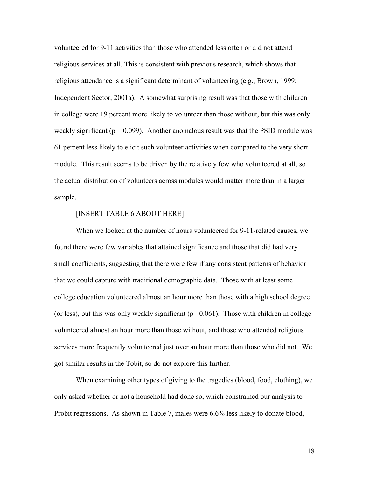volunteered for 9-11 activities than those who attended less often or did not attend religious services at all. This is consistent with previous research, which shows that religious attendance is a significant determinant of volunteering (e.g., Brown, 1999; Independent Sector, 2001a). A somewhat surprising result was that those with children in college were 19 percent more likely to volunteer than those without, but this was only weakly significant ( $p = 0.099$ ). Another anomalous result was that the PSID module was 61 percent less likely to elicit such volunteer activities when compared to the very short module. This result seems to be driven by the relatively few who volunteered at all, so the actual distribution of volunteers across modules would matter more than in a larger sample.

#### [INSERT TABLE 6 ABOUT HERE]

When we looked at the number of hours volunteered for 9-11-related causes, we found there were few variables that attained significance and those that did had very small coefficients, suggesting that there were few if any consistent patterns of behavior that we could capture with traditional demographic data. Those with at least some college education volunteered almost an hour more than those with a high school degree (or less), but this was only weakly significant ( $p = 0.061$ ). Those with children in college volunteered almost an hour more than those without, and those who attended religious services more frequently volunteered just over an hour more than those who did not. We got similar results in the Tobit, so do not explore this further.

When examining other types of giving to the tragedies (blood, food, clothing), we only asked whether or not a household had done so, which constrained our analysis to Probit regressions. As shown in Table 7, males were 6.6% less likely to donate blood,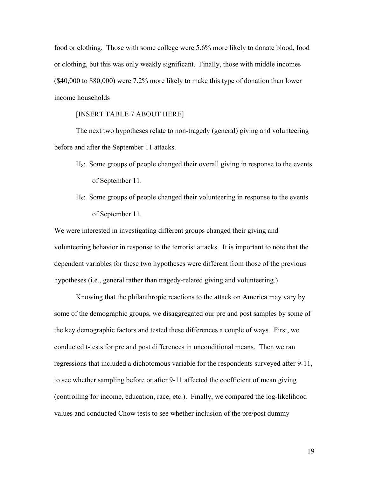food or clothing. Those with some college were 5.6% more likely to donate blood, food or clothing, but this was only weakly significant. Finally, those with middle incomes (\$40,000 to \$80,000) were 7.2% more likely to make this type of donation than lower income households

#### [INSERT TABLE 7 ABOUT HERE]

 The next two hypotheses relate to non-tragedy (general) giving and volunteering before and after the September 11 attacks.

- $H_8$ : Some groups of people changed their overall giving in response to the events of September 11.
- H9: Some groups of people changed their volunteering in response to the events of September 11.

We were interested in investigating different groups changed their giving and volunteering behavior in response to the terrorist attacks. It is important to note that the dependent variables for these two hypotheses were different from those of the previous hypotheses (i.e., general rather than tragedy-related giving and volunteering.)

 Knowing that the philanthropic reactions to the attack on America may vary by some of the demographic groups, we disaggregated our pre and post samples by some of the key demographic factors and tested these differences a couple of ways. First, we conducted t-tests for pre and post differences in unconditional means. Then we ran regressions that included a dichotomous variable for the respondents surveyed after 9-11, to see whether sampling before or after 9-11 affected the coefficient of mean giving (controlling for income, education, race, etc.). Finally, we compared the log-likelihood values and conducted Chow tests to see whether inclusion of the pre/post dummy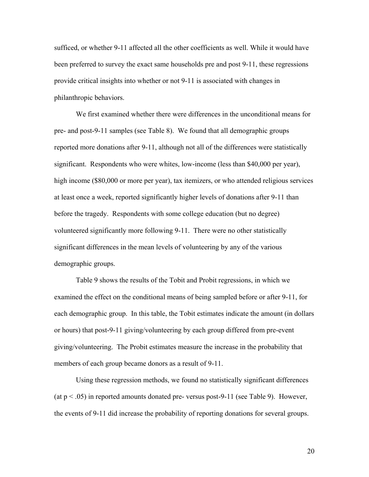sufficed, or whether 9-11 affected all the other coefficients as well. While it would have been preferred to survey the exact same households pre and post 9-11, these regressions provide critical insights into whether or not 9-11 is associated with changes in philanthropic behaviors.

 We first examined whether there were differences in the unconditional means for pre- and post-9-11 samples (see Table 8). We found that all demographic groups reported more donations after 9-11, although not all of the differences were statistically significant. Respondents who were whites, low-income (less than \$40,000 per year), high income (\$80,000 or more per year), tax itemizers, or who attended religious services at least once a week, reported significantly higher levels of donations after 9-11 than before the tragedy. Respondents with some college education (but no degree) volunteered significantly more following 9-11. There were no other statistically significant differences in the mean levels of volunteering by any of the various demographic groups.

 Table 9 shows the results of the Tobit and Probit regressions, in which we examined the effect on the conditional means of being sampled before or after 9-11, for each demographic group. In this table, the Tobit estimates indicate the amount (in dollars or hours) that post-9-11 giving/volunteering by each group differed from pre-event giving/volunteering. The Probit estimates measure the increase in the probability that members of each group became donors as a result of 9-11.

 Using these regression methods, we found no statistically significant differences (at  $p < .05$ ) in reported amounts donated pre- versus post-9-11 (see Table 9). However, the events of 9-11 did increase the probability of reporting donations for several groups.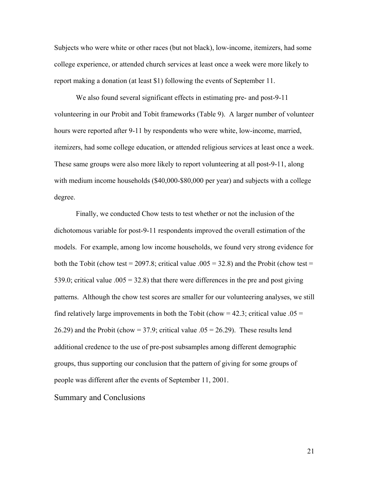Subjects who were white or other races (but not black), low-income, itemizers, had some college experience, or attended church services at least once a week were more likely to report making a donation (at least \$1) following the events of September 11.

 We also found several significant effects in estimating pre- and post-9-11 volunteering in our Probit and Tobit frameworks (Table 9). A larger number of volunteer hours were reported after 9-11 by respondents who were white, low-income, married, itemizers, had some college education, or attended religious services at least once a week. These same groups were also more likely to report volunteering at all post-9-11, along with medium income households (\$40,000-\$80,000 per year) and subjects with a college degree.

 Finally, we conducted Chow tests to test whether or not the inclusion of the dichotomous variable for post-9-11 respondents improved the overall estimation of the models. For example, among low income households, we found very strong evidence for both the Tobit (chow test = 2097.8; critical value .005 = 32.8) and the Probit (chow test = 539.0; critical value  $.005 = 32.8$ ) that there were differences in the pre and post giving patterns. Although the chow test scores are smaller for our volunteering analyses, we still find relatively large improvements in both the Tobit (chow = 42.3; critical value .05 = 26.29) and the Probit (chow = 37.9; critical value  $.05 = 26.29$ ). These results lend additional credence to the use of pre-post subsamples among different demographic groups, thus supporting our conclusion that the pattern of giving for some groups of people was different after the events of September 11, 2001.

Summary and Conclusions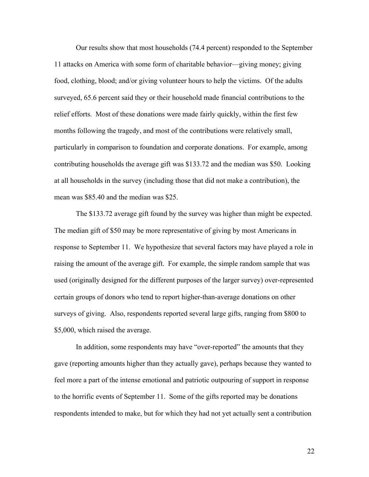Our results show that most households (74.4 percent) responded to the September 11 attacks on America with some form of charitable behavior—giving money; giving food, clothing, blood; and/or giving volunteer hours to help the victims. Of the adults surveyed, 65.6 percent said they or their household made financial contributions to the relief efforts. Most of these donations were made fairly quickly, within the first few months following the tragedy, and most of the contributions were relatively small, particularly in comparison to foundation and corporate donations. For example, among contributing households the average gift was \$133.72 and the median was \$50. Looking at all households in the survey (including those that did not make a contribution), the mean was \$85.40 and the median was \$25.

The \$133.72 average gift found by the survey was higher than might be expected. The median gift of \$50 may be more representative of giving by most Americans in response to September 11. We hypothesize that several factors may have played a role in raising the amount of the average gift. For example, the simple random sample that was used (originally designed for the different purposes of the larger survey) over-represented certain groups of donors who tend to report higher-than-average donations on other surveys of giving. Also, respondents reported several large gifts, ranging from \$800 to \$5,000, which raised the average.

In addition, some respondents may have "over-reported" the amounts that they gave (reporting amounts higher than they actually gave), perhaps because they wanted to feel more a part of the intense emotional and patriotic outpouring of support in response to the horrific events of September 11. Some of the gifts reported may be donations respondents intended to make, but for which they had not yet actually sent a contribution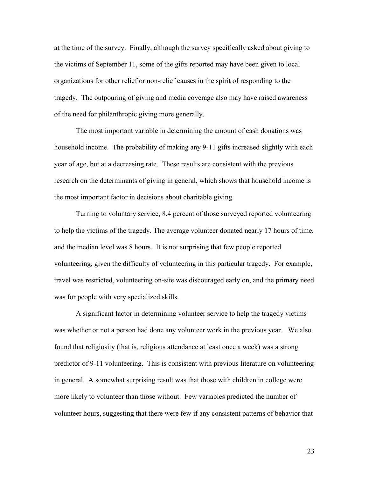at the time of the survey. Finally, although the survey specifically asked about giving to the victims of September 11, some of the gifts reported may have been given to local organizations for other relief or non-relief causes in the spirit of responding to the tragedy. The outpouring of giving and media coverage also may have raised awareness of the need for philanthropic giving more generally.

The most important variable in determining the amount of cash donations was household income. The probability of making any 9-11 gifts increased slightly with each year of age, but at a decreasing rate. These results are consistent with the previous research on the determinants of giving in general, which shows that household income is the most important factor in decisions about charitable giving.

Turning to voluntary service, 8.4 percent of those surveyed reported volunteering to help the victims of the tragedy. The average volunteer donated nearly 17 hours of time, and the median level was 8 hours. It is not surprising that few people reported volunteering, given the difficulty of volunteering in this particular tragedy. For example, travel was restricted, volunteering on-site was discouraged early on, and the primary need was for people with very specialized skills.

A significant factor in determining volunteer service to help the tragedy victims was whether or not a person had done any volunteer work in the previous year. We also found that religiosity (that is, religious attendance at least once a week) was a strong predictor of 9-11 volunteering. This is consistent with previous literature on volunteering in general. A somewhat surprising result was that those with children in college were more likely to volunteer than those without. Few variables predicted the number of volunteer hours, suggesting that there were few if any consistent patterns of behavior that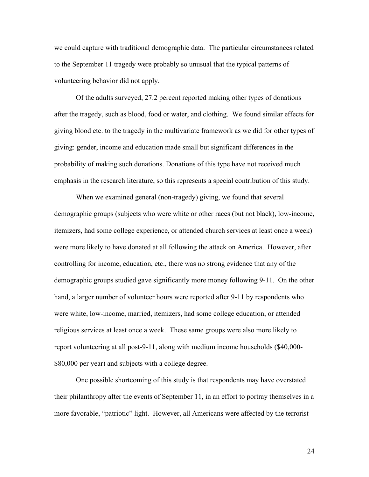we could capture with traditional demographic data. The particular circumstances related to the September 11 tragedy were probably so unusual that the typical patterns of volunteering behavior did not apply.

Of the adults surveyed, 27.2 percent reported making other types of donations after the tragedy, such as blood, food or water, and clothing. We found similar effects for giving blood etc. to the tragedy in the multivariate framework as we did for other types of giving: gender, income and education made small but significant differences in the probability of making such donations. Donations of this type have not received much emphasis in the research literature, so this represents a special contribution of this study.

When we examined general (non-tragedy) giving, we found that several demographic groups (subjects who were white or other races (but not black), low-income, itemizers, had some college experience, or attended church services at least once a week) were more likely to have donated at all following the attack on America. However, after controlling for income, education, etc., there was no strong evidence that any of the demographic groups studied gave significantly more money following 9-11. On the other hand, a larger number of volunteer hours were reported after 9-11 by respondents who were white, low-income, married, itemizers, had some college education, or attended religious services at least once a week. These same groups were also more likely to report volunteering at all post-9-11, along with medium income households (\$40,000- \$80,000 per year) and subjects with a college degree.

One possible shortcoming of this study is that respondents may have overstated their philanthropy after the events of September 11, in an effort to portray themselves in a more favorable, "patriotic" light. However, all Americans were affected by the terrorist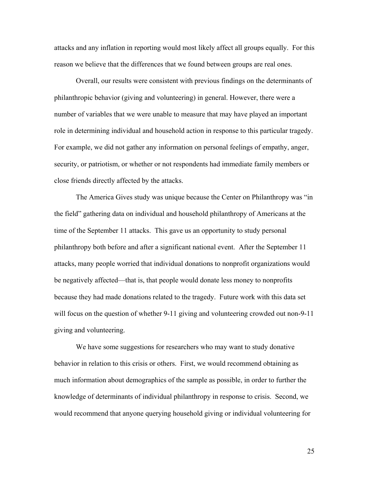attacks and any inflation in reporting would most likely affect all groups equally. For this reason we believe that the differences that we found between groups are real ones.

Overall, our results were consistent with previous findings on the determinants of philanthropic behavior (giving and volunteering) in general. However, there were a number of variables that we were unable to measure that may have played an important role in determining individual and household action in response to this particular tragedy. For example, we did not gather any information on personal feelings of empathy, anger, security, or patriotism, or whether or not respondents had immediate family members or close friends directly affected by the attacks.

The America Gives study was unique because the Center on Philanthropy was "in the field" gathering data on individual and household philanthropy of Americans at the time of the September 11 attacks. This gave us an opportunity to study personal philanthropy both before and after a significant national event. After the September 11 attacks, many people worried that individual donations to nonprofit organizations would be negatively affected—that is, that people would donate less money to nonprofits because they had made donations related to the tragedy. Future work with this data set will focus on the question of whether 9-11 giving and volunteering crowded out non-9-11 giving and volunteering.

 We have some suggestions for researchers who may want to study donative behavior in relation to this crisis or others. First, we would recommend obtaining as much information about demographics of the sample as possible, in order to further the knowledge of determinants of individual philanthropy in response to crisis. Second, we would recommend that anyone querying household giving or individual volunteering for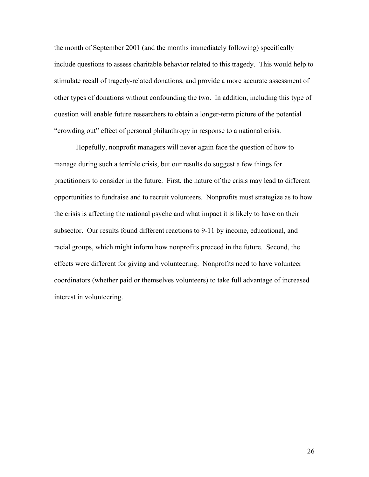the month of September 2001 (and the months immediately following) specifically include questions to assess charitable behavior related to this tragedy. This would help to stimulate recall of tragedy-related donations, and provide a more accurate assessment of other types of donations without confounding the two. In addition, including this type of question will enable future researchers to obtain a longer-term picture of the potential "crowding out" effect of personal philanthropy in response to a national crisis.

 Hopefully, nonprofit managers will never again face the question of how to manage during such a terrible crisis, but our results do suggest a few things for practitioners to consider in the future. First, the nature of the crisis may lead to different opportunities to fundraise and to recruit volunteers. Nonprofits must strategize as to how the crisis is affecting the national psyche and what impact it is likely to have on their subsector. Our results found different reactions to 9-11 by income, educational, and racial groups, which might inform how nonprofits proceed in the future. Second, the effects were different for giving and volunteering. Nonprofits need to have volunteer coordinators (whether paid or themselves volunteers) to take full advantage of increased interest in volunteering.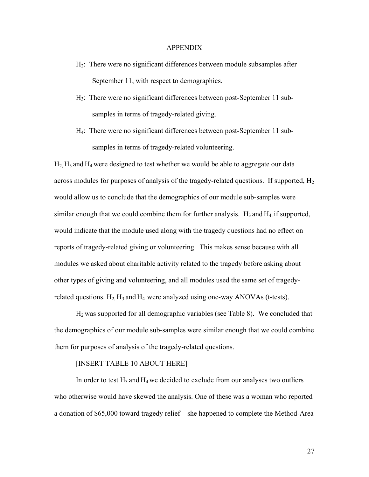#### APPENDIX

- H2: There were no significant differences between module subsamples after September 11, with respect to demographics.
- H3: There were no significant differences between post-September 11 subsamples in terms of tragedy-related giving.
- H4: There were no significant differences between post-September 11 subsamples in terms of tragedy-related volunteering.

 $H_2$ ,  $H_3$  and  $H_4$  were designed to test whether we would be able to aggregate our data across modules for purposes of analysis of the tragedy-related questions. If supported,  $H_2$ would allow us to conclude that the demographics of our module sub-samples were similar enough that we could combine them for further analysis.  $H_3$  and  $H_4$  if supported, would indicate that the module used along with the tragedy questions had no effect on reports of tragedy-related giving or volunteering. This makes sense because with all modules we asked about charitable activity related to the tragedy before asking about other types of giving and volunteering, and all modules used the same set of tragedyrelated questions.  $H_2$   $H_3$  and  $H_4$  were analyzed using one-way ANOVAs (t-tests).

H2 was supported for all demographic variables (see Table 8). We concluded that the demographics of our module sub-samples were similar enough that we could combine them for purposes of analysis of the tragedy-related questions.

#### [INSERT TABLE 10 ABOUT HERE]

In order to test  $H_3$  and  $H_4$  we decided to exclude from our analyses two outliers who otherwise would have skewed the analysis. One of these was a woman who reported a donation of \$65,000 toward tragedy relief—she happened to complete the Method-Area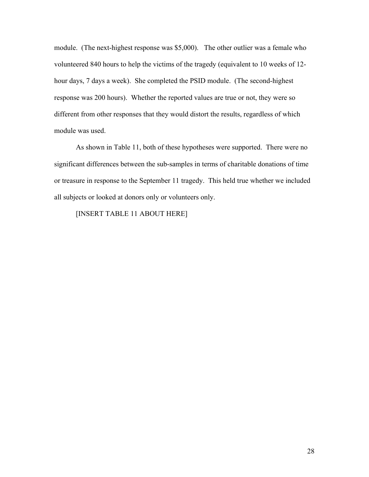module. (The next-highest response was \$5,000). The other outlier was a female who volunteered 840 hours to help the victims of the tragedy (equivalent to 10 weeks of 12 hour days, 7 days a week). She completed the PSID module. (The second-highest response was 200 hours). Whether the reported values are true or not, they were so different from other responses that they would distort the results, regardless of which module was used.

 As shown in Table 11, both of these hypotheses were supported. There were no significant differences between the sub-samples in terms of charitable donations of time or treasure in response to the September 11 tragedy. This held true whether we included all subjects or looked at donors only or volunteers only.

#### [INSERT TABLE 11 ABOUT HERE]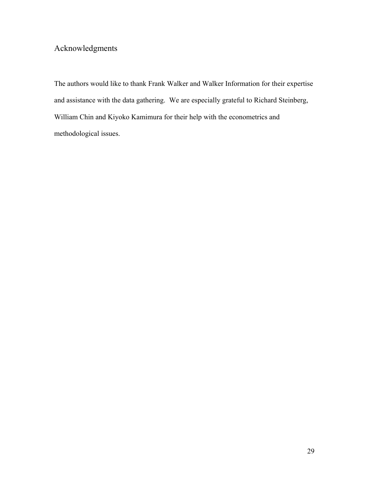# Acknowledgments

The authors would like to thank Frank Walker and Walker Information for their expertise and assistance with the data gathering. We are especially grateful to Richard Steinberg, William Chin and Kiyoko Kamimura for their help with the econometrics and methodological issues.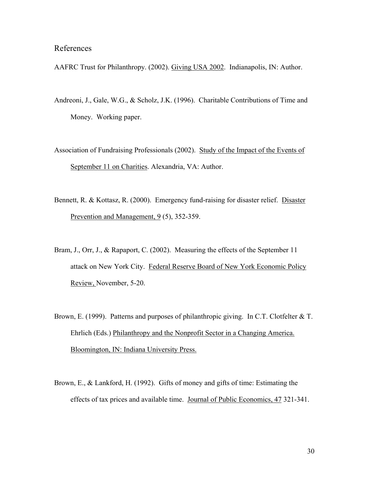#### References

AAFRC Trust for Philanthropy. (2002). Giving USA 2002. Indianapolis, IN: Author.

- Andreoni, J., Gale, W.G., & Scholz, J.K. (1996). Charitable Contributions of Time and Money. Working paper.
- Association of Fundraising Professionals (2002). Study of the Impact of the Events of September 11 on Charities. Alexandria, VA: Author.
- Bennett, R. & Kottasz, R. (2000). Emergency fund-raising for disaster relief. Disaster Prevention and Management, 9 (5), 352-359.
- Bram, J., Orr, J., & Rapaport, C. (2002). Measuring the effects of the September 11 attack on New York City. Federal Reserve Board of New York Economic Policy Review, November, 5-20.
- Brown, E. (1999). Patterns and purposes of philanthropic giving. In C.T. Clotfelter & T. Ehrlich (Eds.) Philanthropy and the Nonprofit Sector in a Changing America. Bloomington, IN: Indiana University Press.
- Brown, E., & Lankford, H. (1992). Gifts of money and gifts of time: Estimating the effects of tax prices and available time. Journal of Public Economics, 47 321-341.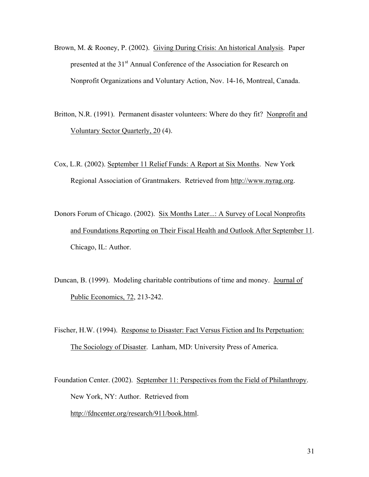- Brown, M. & Rooney, P. (2002). Giving During Crisis: An historical Analysis. Paper presented at the 31<sup>st</sup> Annual Conference of the Association for Research on Nonprofit Organizations and Voluntary Action, Nov. 14-16, Montreal, Canada.
- Britton, N.R. (1991). Permanent disaster volunteers: Where do they fit? Nonprofit and Voluntary Sector Quarterly, 20 (4).
- Cox, L.R. (2002). September 11 Relief Funds: A Report at Six Months. New York Regional Association of Grantmakers. Retrieved from http://www.nyrag.org.
- Donors Forum of Chicago. (2002). Six Months Later...: A Survey of Local Nonprofits and Foundations Reporting on Their Fiscal Health and Outlook After September 11. Chicago, IL: Author.
- Duncan, B. (1999). Modeling charitable contributions of time and money. Journal of Public Economics, 72, 213-242.
- Fischer, H.W. (1994). Response to Disaster: Fact Versus Fiction and Its Perpetuation: The Sociology of Disaster. Lanham, MD: University Press of America.
- Foundation Center. (2002). September 11: Perspectives from the Field of Philanthropy. New York, NY: Author. Retrieved from http://fdncenter.org/research/911/book.html.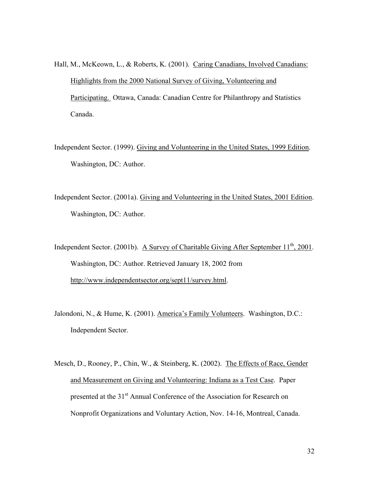- Hall, M., McKeown, L., & Roberts, K. (2001). Caring Canadians, Involved Canadians: Highlights from the 2000 National Survey of Giving, Volunteering and Participating. Ottawa, Canada: Canadian Centre for Philanthropy and Statistics Canada.
- Independent Sector. (1999). Giving and Volunteering in the United States, 1999 Edition. Washington, DC: Author.
- Independent Sector. (2001a). Giving and Volunteering in the United States, 2001 Edition. Washington, DC: Author.
- Independent Sector. (2001b). A Survey of Charitable Giving After September  $11<sup>th</sup>$ , 2001. Washington, DC: Author. Retrieved January 18, 2002 from http://www.independentsector.org/sept11/survey.html.
- Jalondoni, N., & Hume, K. (2001). America's Family Volunteers. Washington, D.C.: Independent Sector.
- Mesch, D., Rooney, P., Chin, W., & Steinberg, K. (2002). The Effects of Race, Gender and Measurement on Giving and Volunteering: Indiana as a Test Case. Paper presented at the 31<sup>st</sup> Annual Conference of the Association for Research on Nonprofit Organizations and Voluntary Action, Nov. 14-16, Montreal, Canada.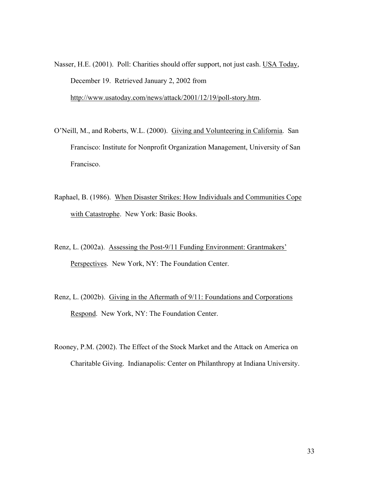Nasser, H.E. (2001). Poll: Charities should offer support, not just cash. USA Today, December 19. Retrieved January 2, 2002 from http://www.usatoday.com/news/attack/2001/12/19/poll-story.htm.

- O'Neill, M., and Roberts, W.L. (2000). Giving and Volunteering in California. San Francisco: Institute for Nonprofit Organization Management, University of San Francisco.
- Raphael, B. (1986). When Disaster Strikes: How Individuals and Communities Cope with Catastrophe. New York: Basic Books.
- Renz, L. (2002a). Assessing the Post-9/11 Funding Environment: Grantmakers' Perspectives. New York, NY: The Foundation Center.
- Renz, L. (2002b). Giving in the Aftermath of 9/11: Foundations and Corporations Respond. New York, NY: The Foundation Center.
- Rooney, P.M. (2002). The Effect of the Stock Market and the Attack on America on Charitable Giving. Indianapolis: Center on Philanthropy at Indiana University.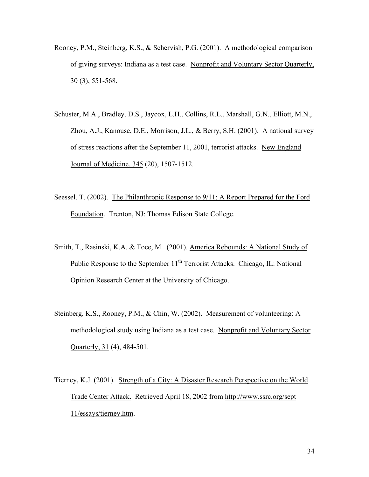- Rooney, P.M., Steinberg, K.S., & Schervish, P.G. (2001). A methodological comparison of giving surveys: Indiana as a test case. Nonprofit and Voluntary Sector Quarterly, 30 (3), 551-568.
- Schuster, M.A., Bradley, D.S., Jaycox, L.H., Collins, R.L., Marshall, G.N., Elliott, M.N., Zhou, A.J., Kanouse, D.E., Morrison, J.L., & Berry, S.H. (2001). A national survey of stress reactions after the September 11, 2001, terrorist attacks. New England Journal of Medicine, 345 (20), 1507-1512.
- Seessel, T. (2002). The Philanthropic Response to 9/11: A Report Prepared for the Ford Foundation. Trenton, NJ: Thomas Edison State College.
- Smith, T., Rasinski, K.A. & Toce, M. (2001). America Rebounds: A National Study of Public Response to the September  $11<sup>th</sup>$  Terrorist Attacks. Chicago, IL: National Opinion Research Center at the University of Chicago.
- Steinberg, K.S., Rooney, P.M., & Chin, W. (2002). Measurement of volunteering: A methodological study using Indiana as a test case. Nonprofit and Voluntary Sector Quarterly, 31 (4), 484-501.
- Tierney, K.J. (2001). Strength of a City: A Disaster Research Perspective on the World Trade Center Attack. Retrieved April 18, 2002 from http://www.ssrc.org/sept 11/essays/tierney.htm.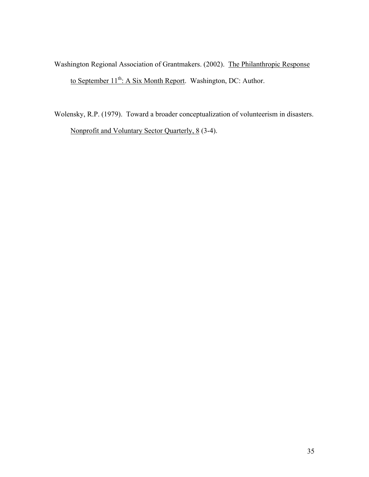Washington Regional Association of Grantmakers. (2002). The Philanthropic Response to September 11<sup>th</sup>: A Six Month Report. Washington, DC: Author.

Wolensky, R.P. (1979). Toward a broader conceptualization of volunteerism in disasters. Nonprofit and Voluntary Sector Quarterly, 8 (3-4).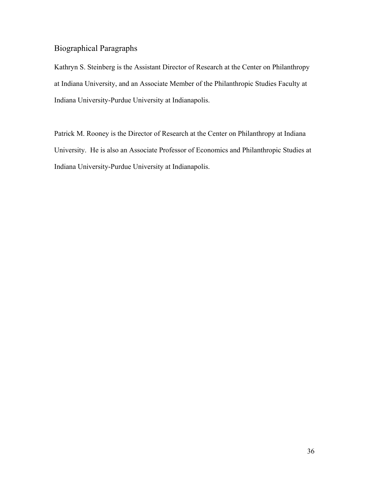### Biographical Paragraphs

Kathryn S. Steinberg is the Assistant Director of Research at the Center on Philanthropy at Indiana University, and an Associate Member of the Philanthropic Studies Faculty at Indiana University-Purdue University at Indianapolis.

Patrick M. Rooney is the Director of Research at the Center on Philanthropy at Indiana University. He is also an Associate Professor of Economics and Philanthropic Studies at Indiana University-Purdue University at Indianapolis.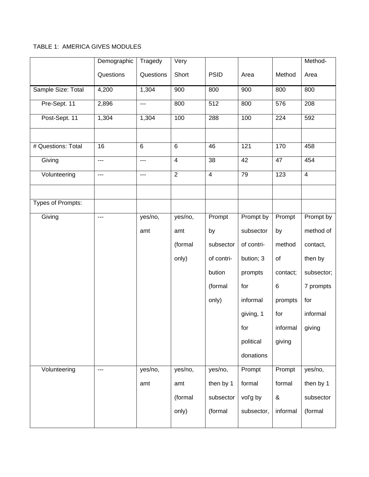#### TABLE 1: AMERICA GIVES MODULES

|                          | Demographic    | Tragedy        | Very           |                |            |          | Method-        |
|--------------------------|----------------|----------------|----------------|----------------|------------|----------|----------------|
|                          | Questions      | Questions      | Short          | <b>PSID</b>    | Area       | Method   | Area           |
| Sample Size: Total       | 4,200          | 1,304          | 900            | 800            | 900        | 800      | 800            |
| Pre-Sept. 11             | 2,896          | ---            | 800            | 512            | 800        | 576      | 208            |
| Post-Sept. 11            | 1,304          | 1,304          | 100            | 288            | 100        | 224      | 592            |
|                          |                |                |                |                |            |          |                |
| # Questions: Total       | 16             | $\overline{6}$ | $\overline{6}$ | 46             | 121        | 170      | 458            |
| Giving                   | $\overline{a}$ | ---            | $\overline{4}$ | 38             | 42         | 47       | 454            |
| Volunteering             | $\overline{a}$ | ---            | $\overline{2}$ | $\overline{4}$ | 79         | 123      | $\overline{4}$ |
|                          |                |                |                |                |            |          |                |
| <b>Types of Prompts:</b> |                |                |                |                |            |          |                |
| Giving                   | ---            | yes/no,        | yes/no,        | Prompt         | Prompt by  | Prompt   | Prompt by      |
|                          |                | amt            | amt            | by             | subsector  | by       | method of      |
|                          |                |                | (formal        | subsector      | of contri- | method   | contact,       |
|                          |                |                | only)          | of contri-     | bution; 3  | of       | then by        |
|                          |                |                |                | bution         | prompts    | contact; | subsector;     |
|                          |                |                |                | (formal        | for        | $\,6\,$  | 7 prompts      |
|                          |                |                |                | only)          | informal   | prompts  | for            |
|                          |                |                |                |                | giving, 1  | for      | informal       |
|                          |                |                |                |                | for        | informal | giving         |
|                          |                |                |                |                | political  | giving   |                |
|                          |                |                |                |                | donations  |          |                |
| Volunteering             | $\overline{a}$ | yes/no,        | yes/no,        | yes/no,        | Prompt     | Prompt   | yes/no,        |
|                          |                | amt            | amt            | then by 1      | formal     | formal   | then by 1      |
|                          |                |                | (formal        | subsector      | vol'g by   | $\&$     | subsector      |
|                          |                |                | only)          | (formal        | subsector, | informal | (formal        |
|                          |                |                |                |                |            |          |                |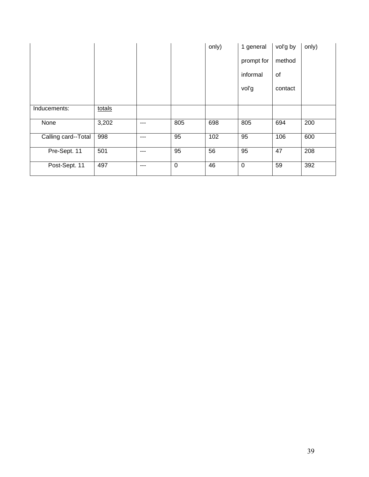|                     |        |     |             | only) | 1 general   | vol'g by | only) |
|---------------------|--------|-----|-------------|-------|-------------|----------|-------|
|                     |        |     |             |       | prompt for  | method   |       |
|                     |        |     |             |       | informal    | of       |       |
|                     |        |     |             |       | voľg        | contact  |       |
|                     |        |     |             |       |             |          |       |
| Inducements:        | totals |     |             |       |             |          |       |
| None                | 3,202  | --- | 805         | 698   | 805         | 694      | 200   |
| Calling card--Total | 998    | --- | 95          | 102   | 95          | 106      | 600   |
| Pre-Sept. 11        | 501    | --- | 95          | 56    | 95          | 47       | 208   |
| Post-Sept. 11       | 497    | --- | $\mathbf 0$ | 46    | $\mathbf 0$ | 59       | 392   |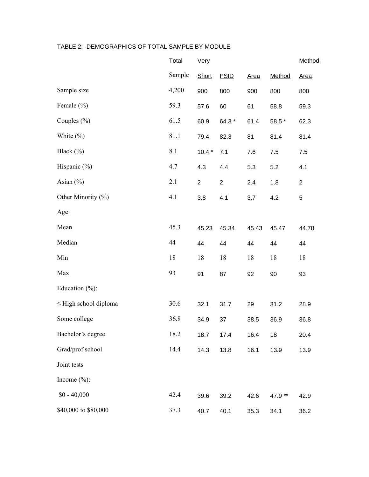#### TABLE 2: -DEMOGRAPHICS OF TOTAL SAMPLE BY MODULE

|                            | Total         | Very           |                |       |         | Method-      |
|----------------------------|---------------|----------------|----------------|-------|---------|--------------|
|                            | <b>Sample</b> | Short          | <b>PSID</b>    | Area  | Method  | Area         |
| Sample size                | 4,200         | 900            | 800            | 900   | 800     | 800          |
| Female $(\% )$             | 59.3          | 57.6           | 60             | 61    | 58.8    | 59.3         |
| Couples $(\% )$            | 61.5          | 60.9           | 64.3 *         | 61.4  | 58.5 *  | 62.3         |
| White $(\% )$              | 81.1          | 79.4           | 82.3           | 81    | 81.4    | 81.4         |
| Black (%)                  | 8.1           | $10.4*$        | 7.1            | 7.6   | 7.5     | 7.5          |
| Hispanic $(\%)$            | 4.7           | 4.3            | 4.4            | 5.3   | 5.2     | 4.1          |
| Asian $(\% )$              | 2.1           | $\overline{2}$ | $\overline{2}$ | 2.4   | 1.8     | $\mathbf{2}$ |
| Other Minority (%)         | 4.1           | 3.8            | 4.1            | 3.7   | 4.2     | 5            |
| Age:                       |               |                |                |       |         |              |
| Mean                       | 45.3          | 45.23          | 45.34          | 45.43 | 45.47   | 44.78        |
| Median                     | 44            | 44             | 44             | 44    | 44      | 44           |
| Min                        | 18            | 18             | 18             | 18    | 18      | 18           |
| Max                        | 93            | 91             | 87             | 92    | 90      | 93           |
| Education $(\% )$ :        |               |                |                |       |         |              |
| $\leq$ High school diploma | 30.6          | 32.1           | 31.7           | 29    | 31.2    | 28.9         |
| Some college               | 36.8          | 34.9           | 37             | 38.5  | 36.9    | 36.8         |
| Bachelor's degree          | 18.2          | 18.7           | 17.4           | 16.4  | 18      | 20.4         |
| Grad/prof school           | 14.4          | 14.3           | 13.8           | 16.1  | 13.9    | 13.9         |
| Joint tests                |               |                |                |       |         |              |
| Income $(\% )$ :           |               |                |                |       |         |              |
| $$0 - 40,000$              | 42.4          | 39.6           | 39.2           | 42.6  | 47.9 ** | 42.9         |
| \$40,000 to \$80,000       | 37.3          | 40.7           | 40.1           | 35.3  | 34.1    | 36.2         |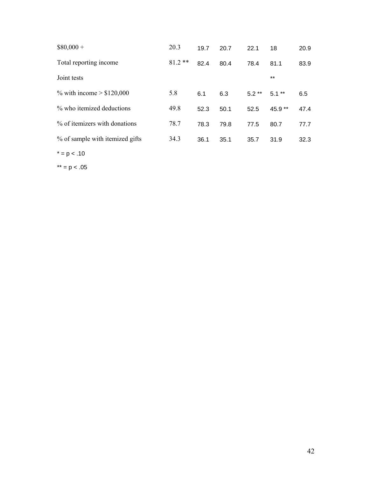| $$80,000+$                      | 20.3     | 19.7 | 20.7 | 22.1    | 18       | 20.9 |
|---------------------------------|----------|------|------|---------|----------|------|
| Total reporting income          | $81.2**$ | 82.4 | 80.4 | 78.4    | 81.1     | 83.9 |
| Joint tests                     |          |      |      |         | $***$    |      |
| % with income $> $120,000$      | 5.8      | 6.1  | 6.3  | $5.2**$ | $5.1***$ | 6.5  |
| % who itemized deductions       | 49.8     | 52.3 | 50.1 | 52.5    | $45.9**$ | 47.4 |
| % of itemizers with donations   | 78.7     | 78.3 | 79.8 | 77.5    | 80.7     | 77.7 |
| % of sample with itemized gifts | 34.3     | 36.1 | 35.1 | 35.7    | 31.9     | 32.3 |
| $* = p < .10$                   |          |      |      |         |          |      |

 $*** = p < .05$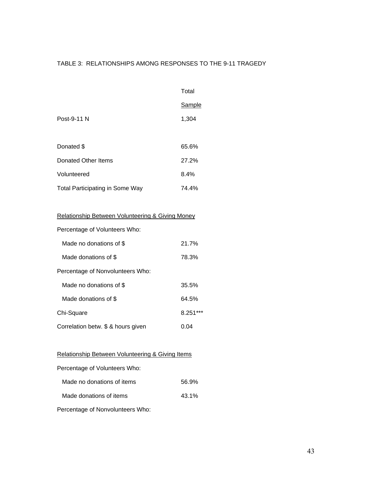#### TABLE 3: RELATIONSHIPS AMONG RESPONSES TO THE 9-11 TRAGEDY

|                                        | Total  |
|----------------------------------------|--------|
|                                        | Sample |
| Post-9-11 N                            | 1,304  |
|                                        |        |
| Donated \$                             | 65.6%  |
| Donated Other Items                    | 27.2%  |
| Volunteered                            | 8.4%   |
| <b>Total Participating in Some Way</b> | 74.4%  |

#### Relationship Between Volunteering & Giving Money

| Percentage of Volunteers Who:      |            |
|------------------------------------|------------|
| Made no donations of \$            | 21.7%      |
| Made donations of \$               | 78.3%      |
| Percentage of Nonvolunteers Who:   |            |
| Made no donations of \$            | 35.5%      |
| Made donations of \$               | 64.5%      |
| Chi-Square                         | $8.251***$ |
| Correlation betw. \$ & hours given | 0.04       |

#### Relationship Between Volunteering & Giving Items

| Percentage of Volunteers Who: |       |
|-------------------------------|-------|
| Made no donations of items    | 56.9% |
| Made donations of items       | 43.1% |

Percentage of Nonvolunteers Who: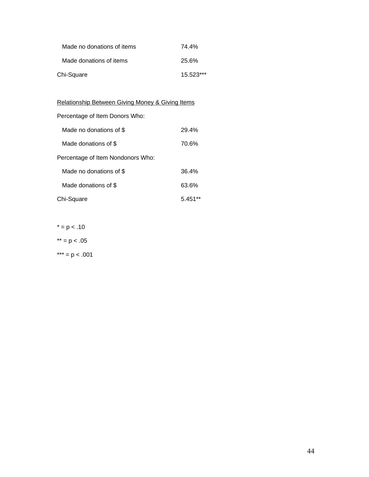| Made no donations of items | 74.4%       |
|----------------------------|-------------|
| Made donations of items    | 25.6%       |
| Chi-Square                 | $15.523***$ |

Relationship Between Giving Money & Giving Items

Percentage of Item Donors Who:

| Made no donations of \$           | 29.4% |
|-----------------------------------|-------|
| Made donations of \$              | 70.6% |
| Percentage of Item Nondonors Who: |       |
| Made no donations of \$           | 36.4% |
| Made donations of \$              | 63.6% |
| Chi-Square                        | 5.45  |

 $* = p < .10$ 

 $*** = p < .05$ 

\*\*\* =  $p < .001$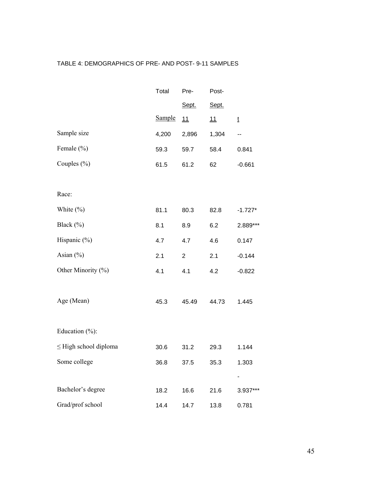#### TABLE 4: DEMOGRAPHICS OF PRE- AND POST- 9-11 SAMPLES

|                            | Total         | Pre-           | Post- |           |
|----------------------------|---------------|----------------|-------|-----------|
|                            |               | Sept.          | Sept. |           |
|                            | <b>Sample</b> | 11             | 11    | ţ         |
| Sample size                | 4,200         | 2,896          | 1,304 | --        |
| Female (%)                 | 59.3          | 59.7           | 58.4  | 0.841     |
| Couples $(\% )$            | 61.5          | 61.2           | 62    | $-0.661$  |
|                            |               |                |       |           |
| Race:                      |               |                |       |           |
| White $(\%)$               | 81.1          | 80.3           | 82.8  | $-1.727*$ |
| Black $(\%)$               | 8.1           | 8.9            | 6.2   | 2.889***  |
| Hispanic $(\% )$           | 4.7           | 4.7            | 4.6   | 0.147     |
| Asian $(\% )$              | 2.1           | $\overline{c}$ | 2.1   | $-0.144$  |
| Other Minority (%)         | 4.1           | 4.1            | 4.2   | $-0.822$  |
|                            |               |                |       |           |
| Age (Mean)                 | 45.3          | 45.49          | 44.73 | 1.445     |
|                            |               |                |       |           |
| Education $(\% )$ :        |               |                |       |           |
| $\leq$ High school diploma | 30.6          | 31.2           | 29.3  | 1.144     |
| Some college               | 36.8          | 37.5           | 35.3  | 1.303     |
|                            |               |                |       |           |
| Bachelor's degree          | 18.2          | 16.6           | 21.6  | 3.937***  |
| Grad/prof school           | 14.4          | 14.7           | 13.8  | 0.781     |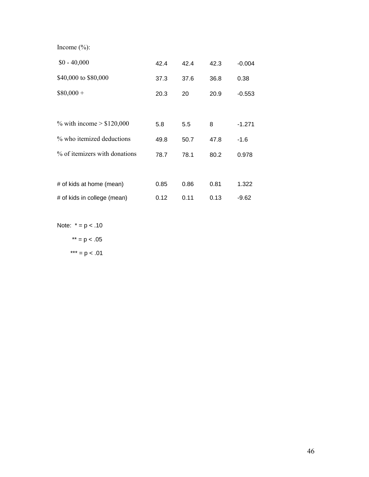Income (%):

| $$0 - 40,000$                 | 42.4 | 42.4 | 42.3 | $-0.004$ |
|-------------------------------|------|------|------|----------|
| \$40,000 to \$80,000          | 37.3 | 37.6 | 36.8 | 0.38     |
| $$80,000 +$                   | 20.3 | 20   | 20.9 | $-0.553$ |
|                               |      |      |      |          |
| % with income $> $120,000$    | 5.8  | 5.5  | 8    | $-1.271$ |
| % who itemized deductions     | 49.8 | 50.7 | 47.8 | $-1.6$   |
| % of itemizers with donations | 78.7 | 78.1 | 80.2 | 0.978    |
|                               |      |      |      |          |
| # of kids at home (mean)      | 0.85 | 0.86 | 0.81 | 1.322    |
| # of kids in college (mean)   | 0.12 | 0.11 | 0.13 | -9.62    |

Note:  $* = p < .10$  $*** = p < .05$ 

\*\*\* =  $p < .01$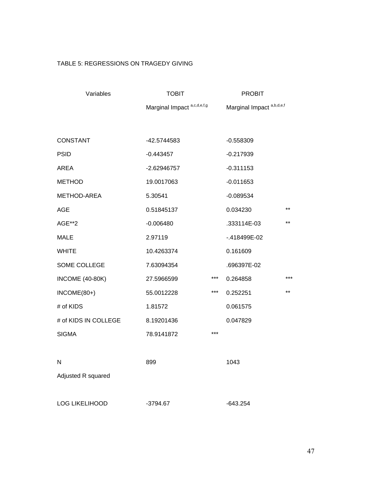#### TABLE 5: REGRESSIONS ON TRAGEDY GIVING

| Variables              | <b>TOBIT</b> |                             |              |       |
|------------------------|--------------|-----------------------------|--------------|-------|
|                        |              | Marginal Impact a,c,d,e,f,g |              |       |
|                        |              |                             |              |       |
| <b>CONSTANT</b>        | -42.5744583  |                             | $-0.558309$  |       |
| <b>PSID</b>            | $-0.443457$  |                             | $-0.217939$  |       |
| AREA                   | -2.62946757  |                             | $-0.311153$  |       |
| <b>METHOD</b>          | 19.0017063   |                             | $-0.011653$  |       |
| METHOD-AREA            | 5.30541      |                             | $-0.089534$  |       |
| <b>AGE</b>             | 0.51845137   |                             | 0.034230     | **    |
| AGE**2                 | $-0.006480$  |                             | .333114E-03  | $***$ |
| <b>MALE</b>            | 2.97119      |                             | -.418499E-02 |       |
| <b>WHITE</b>           | 10.4263374   |                             | 0.161609     |       |
| SOME COLLEGE           | 7.63094354   |                             | .696397E-02  |       |
| <b>INCOME (40-80K)</b> | 27.5966599   | $***$                       | 0.264858     | ***   |
| INCOME(80+)            | 55.0012228   | ***                         | 0.252251     | $***$ |
| # of KIDS              | 1.81572      |                             | 0.061575     |       |
| # of KIDS IN COLLEGE   | 8.19201436   |                             | 0.047829     |       |
| <b>SIGMA</b>           | 78.9141872   | $***$                       |              |       |
|                        |              |                             |              |       |
| N                      | 899          |                             | 1043         |       |
| Adjusted R squared     |              |                             |              |       |
|                        |              |                             |              |       |
| <b>LOG LIKELIHOOD</b>  | $-3794.67$   |                             | $-643.254$   |       |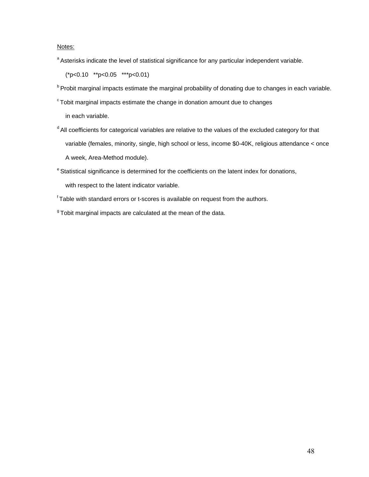#### Notes:

a Asterisks indicate the level of statistical significance for any particular independent variable.

(\*p<0.10 \*\*p<0.05 \*\*\*p<0.01)

- **b** Probit marginal impacts estimate the marginal probability of donating due to changes in each variable.
- $c$  Tobit marginal impacts estimate the change in donation amount due to changes

in each variable.

- <sup>d</sup> All coefficients for categorical variables are relative to the values of the excluded category for that variable (females, minority, single, high school or less, income \$0-40K, religious attendance < once A week, Area-Method module).
- <sup>e</sup> Statistical significance is determined for the coefficients on the latent index for donations,

with respect to the latent indicator variable.

- f Table with standard errors or t-scores is available on request from the authors.
- $9$ Tobit marginal impacts are calculated at the mean of the data.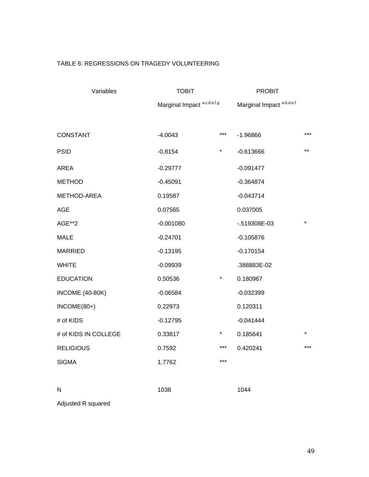#### TABLE 6: REGRESSIONS ON TRAGEDY VOLUNTEERING

| Variables              | <b>TOBIT</b>                           |          | <b>PROBIT</b>                        |         |
|------------------------|----------------------------------------|----------|--------------------------------------|---------|
|                        | Marginal Impact <sup>a,c,d,e,f,g</sup> |          | Marginal Impact <sup>a,b,d,e,f</sup> |         |
|                        |                                        |          |                                      |         |
| CONSTANT               | $-4.0043$                              | $***$    | $-1.96866$                           | $***$   |
| <b>PSID</b>            | $-0.8154$                              | *        | $-0.613666$                          | $***$   |
| AREA                   | $-0.29777$                             |          | $-0.091477$                          |         |
| <b>METHOD</b>          | $-0.45091$                             |          | $-0.364874$                          |         |
| METHOD-AREA            | 0.19587                                |          | $-0.043714$                          |         |
| AGE                    | 0.07565                                |          | 0.037005                             |         |
| AGE**2                 | $-0.001080$                            |          | -.519308E-03                         | $\star$ |
| <b>MALE</b>            | $-0.24701$                             |          | $-0.105876$                          |         |
| <b>MARRIED</b>         | $-0.13195$                             |          | $-0.170154$                          |         |
| <b>WHITE</b>           | $-0.09939$                             |          | .388883E-02                          |         |
| <b>EDUCATION</b>       | 0.50536                                | $^\star$ | 0.180967                             |         |
| <b>INCOME (40-80K)</b> | $-0.06584$                             |          | $-0.032399$                          |         |
| $INCOME(80+)$          | 0.22973                                |          | 0.120311                             |         |
| # of KIDS              | $-0.12795$                             |          | $-0.041444$                          |         |
| # of KIDS IN COLLEGE   | 0.33817                                | $\ast$   | 0.185641                             |         |
| <b>RELIGIOUS</b>       | 0.7592                                 | $***$    | 0.420241                             | ***     |
| <b>SIGMA</b>           | 1.7762                                 | $***$    |                                      |         |
|                        |                                        |          |                                      |         |
| N                      | 1038                                   |          | 1044                                 |         |

Adjusted R squared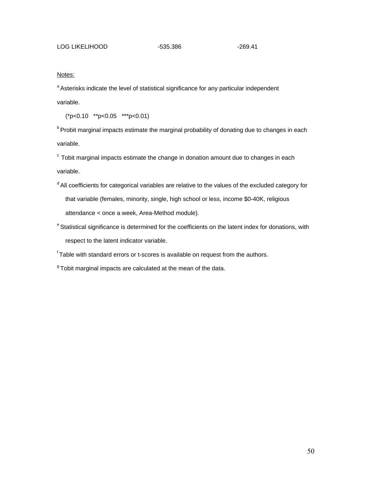#### Notes:

<sup>a</sup> Asterisks indicate the level of statistical significance for any particular independent

variable.

(\*p<0.10 \*\*p<0.05 \*\*\*p<0.01)

<sup>b</sup> Probit marginal impacts estimate the marginal probability of donating due to changes in each variable.

 $\degree$  Tobit marginal impacts estimate the change in donation amount due to changes in each variable.

- <sup>d</sup> All coefficients for categorical variables are relative to the values of the excluded category for that variable (females, minority, single, high school or less, income \$0-40K, religious attendance < once a week, Area-Method module).
- <sup>e</sup> Statistical significance is determined for the coefficients on the latent index for donations, with respect to the latent indicator variable.

 $<sup>f</sup>$  Table with standard errors or t-scores is available on request from the authors.</sup>

 $9$  Tobit marginal impacts are calculated at the mean of the data.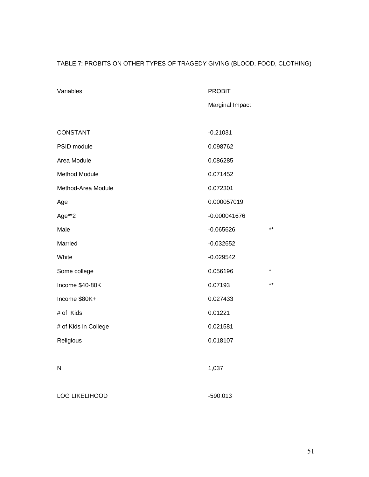#### TABLE 7: PROBITS ON OTHER TYPES OF TRAGEDY GIVING (BLOOD, FOOD, CLOTHING)

| Variables             | <b>PROBIT</b>   |         |
|-----------------------|-----------------|---------|
|                       | Marginal Impact |         |
|                       |                 |         |
| CONSTANT              | $-0.21031$      |         |
| PSID module           | 0.098762        |         |
| Area Module           | 0.086285        |         |
| <b>Method Module</b>  | 0.071452        |         |
| Method-Area Module    | 0.072301        |         |
| Age                   | 0.000057019     |         |
| Age**2                | $-0.000041676$  |         |
| Male                  | $-0.065626$     | $***$   |
| Married               | $-0.032652$     |         |
| White                 | $-0.029542$     |         |
| Some college          | 0.056196        | $\star$ |
| Income \$40-80K       | 0.07193         | $***$   |
| Income \$80K+         | 0.027433        |         |
| # of Kids             | 0.01221         |         |
| # of Kids in College  | 0.021581        |         |
| Religious             | 0.018107        |         |
|                       |                 |         |
| N                     | 1,037           |         |
|                       |                 |         |
| <b>LOG LIKELIHOOD</b> | $-590.013$      |         |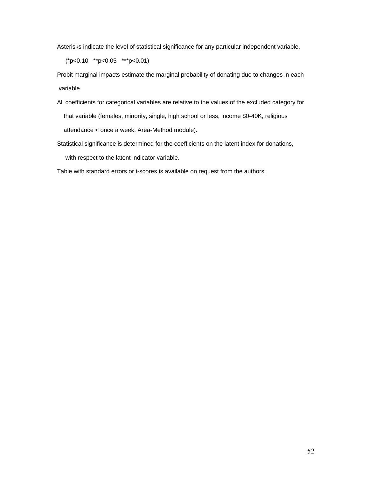Asterisks indicate the level of statistical significance for any particular independent variable.

(\*p<0.10 \*\*p<0.05 \*\*\*p<0.01)

Probit marginal impacts estimate the marginal probability of donating due to changes in each variable.

- All coefficients for categorical variables are relative to the values of the excluded category for that variable (females, minority, single, high school or less, income \$0-40K, religious attendance < once a week, Area-Method module).
- Statistical significance is determined for the coefficients on the latent index for donations, with respect to the latent indicator variable.

Table with standard errors or t-scores is available on request from the authors.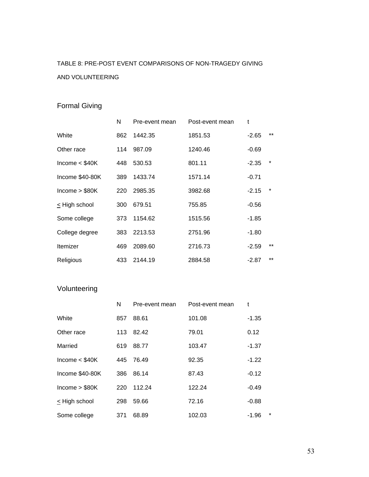# TABLE 8: PRE-POST EVENT COMPARISONS OF NON-TRAGEDY GIVING AND VOLUNTEERING

### Formal Giving

|                  | N   | Pre-event mean | Post-event mean | t       |         |
|------------------|-----|----------------|-----------------|---------|---------|
| White            | 862 | 1442.35        | 1851.53         | $-2.65$ | $***$   |
| Other race       | 114 | 987.09         | 1240.46         | $-0.69$ |         |
| Income $<$ \$40K | 448 | 530.53         | 801.11          | $-2.35$ | $\star$ |
| Income \$40-80K  | 389 | 1433.74        | 1571.14         | $-0.71$ |         |
| Income $> $80K$  | 220 | 2985.35        | 3982.68         | $-2.15$ | *       |
| < High school    | 300 | 679.51         | 755.85          | $-0.56$ |         |
| Some college     | 373 | 1154.62        | 1515.56         | $-1.85$ |         |
| College degree   | 383 | 2213.53        | 2751.96         | $-1.80$ |         |
| Itemizer         | 469 | 2089.60        | 2716.73         | $-2.59$ | $***$   |
| Religious        | 433 | 2144.19        | 2884.58         | $-2.87$ | $***$   |

### Volunteering

|                  | N   | Pre-event mean | Post-event mean | t                  |
|------------------|-----|----------------|-----------------|--------------------|
| White            | 857 | 88.61          | 101.08          | $-1.35$            |
| Other race       | 113 | 82.42          | 79.01           | 0.12               |
| Married          | 619 | 88.77          | 103.47          | $-1.37$            |
| Income $<$ \$40K | 445 | 76.49          | 92.35           | $-1.22$            |
| Income \$40-80K  | 386 | 86.14          | 87.43           | $-0.12$            |
| Income > \$80K   | 220 | 112.24         | 122.24          | $-0.49$            |
| < High school    | 298 | 59.66          | 72.16           | $-0.88$            |
| Some college     | 371 | 68.89          | 102.03          | $\star$<br>$-1.96$ |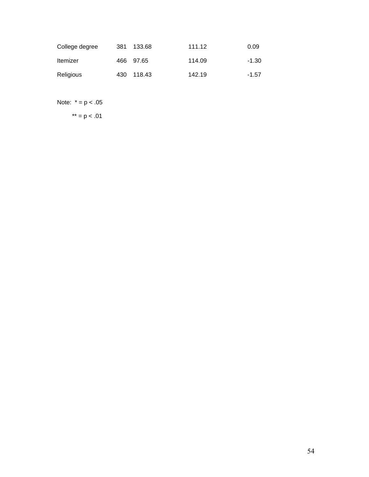| College degree  | 381 | 133.68     | 111.12 | 0.09    |
|-----------------|-----|------------|--------|---------|
| <b>Itemizer</b> |     | 466 97.65  | 114.09 | $-1.30$ |
| Religious       |     | 430 118.43 | 142.19 | $-1.57$ |

Note:  $* = p < .05$ 

 $**$  = p < .01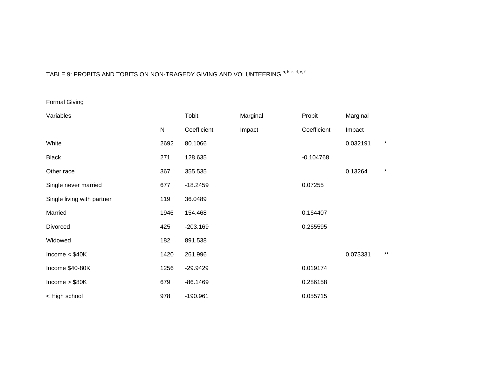# TABLE 9: PROBITS AND TOBITS ON NON-TRAGEDY GIVING AND VOLUNTEERING a, b, c, d, e, f

Formal Giving

| Variables                  |           | Tobit       | Marginal | Probit      | Marginal |         |
|----------------------------|-----------|-------------|----------|-------------|----------|---------|
|                            | ${\sf N}$ | Coefficient | Impact   | Coefficient | Impact   |         |
| White                      | 2692      | 80.1066     |          |             | 0.032191 | $\star$ |
| <b>Black</b>               | 271       | 128.635     |          | $-0.104768$ |          |         |
| Other race                 | 367       | 355.535     |          |             | 0.13264  | $\star$ |
| Single never married       | 677       | $-18.2459$  |          | 0.07255     |          |         |
| Single living with partner | 119       | 36.0489     |          |             |          |         |
| Married                    | 1946      | 154.468     |          | 0.164407    |          |         |
| <b>Divorced</b>            | 425       | $-203.169$  |          | 0.265595    |          |         |
| Widowed                    | 182       | 891.538     |          |             |          |         |
| Income $<$ \$40K           | 1420      | 261.996     |          |             | 0.073331 | $***$   |
| Income \$40-80K            | 1256      | $-29.9429$  |          | 0.019174    |          |         |
| Income $> $80K$            | 679       | $-86.1469$  |          | 0.286158    |          |         |
| $\leq$ High school         | 978       | $-190.961$  |          | 0.055715    |          |         |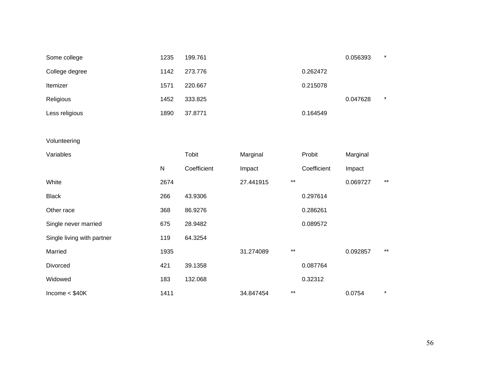| Some college               | 1235      | 199.761     |           |                 |             | 0.056393 | $\star$ |
|----------------------------|-----------|-------------|-----------|-----------------|-------------|----------|---------|
| College degree             | 1142      | 273.776     |           |                 | 0.262472    |          |         |
| Itemizer                   | 1571      | 220.667     |           |                 | 0.215078    |          |         |
| Religious                  | 1452      | 333.825     |           |                 |             | 0.047628 | $\star$ |
| Less religious             | 1890      | 37.8771     |           |                 | 0.164549    |          |         |
|                            |           |             |           |                 |             |          |         |
| Volunteering               |           |             |           |                 |             |          |         |
| Variables                  |           | Tobit       | Marginal  |                 | Probit      | Marginal |         |
|                            | ${\sf N}$ | Coefficient | Impact    |                 | Coefficient | Impact   |         |
| White                      | 2674      |             | 27.441915 | $^{\star\star}$ |             | 0.069727 | $***$   |
| <b>Black</b>               | 266       | 43.9306     |           |                 | 0.297614    |          |         |
| Other race                 | 368       | 86.9276     |           |                 | 0.286261    |          |         |
| Single never married       | 675       | 28.9482     |           |                 | 0.089572    |          |         |
| Single living with partner | 119       | 64.3254     |           |                 |             |          |         |
| Married                    | 1935      |             | 31.274089 | $***$           |             | 0.092857 | $***$   |
| Divorced                   | 421       | 39.1358     |           |                 | 0.087764    |          |         |
| Widowed                    | 183       | 132.068     |           |                 | 0.32312     |          |         |
| Income $<$ \$40K           | 1411      |             | 34.847454 | $***$           |             | 0.0754   | $\star$ |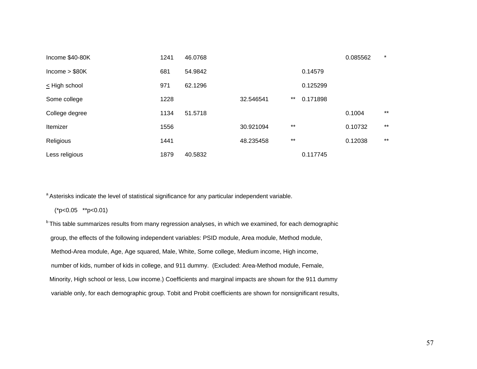| Income \$40-80K    | 1241 | 46.0768 |           |       |          | 0.085562 | $\star$ |
|--------------------|------|---------|-----------|-------|----------|----------|---------|
| lncome > \$80K     | 681  | 54.9842 |           |       | 0.14579  |          |         |
| $\leq$ High school | 971  | 62.1296 |           |       | 0.125299 |          |         |
| Some college       | 1228 |         | 32.546541 | $***$ | 0.171898 |          |         |
| College degree     | 1134 | 51.5718 |           |       |          | 0.1004   | $***$   |
| Itemizer           | 1556 |         | 30.921094 | $***$ |          | 0.10732  | $***$   |
| Religious          | 1441 |         | 48.235458 | $***$ |          | 0.12038  | $***$   |
| Less religious     | 1879 | 40.5832 |           |       | 0.117745 |          |         |

<sup>a</sup> Asterisks indicate the level of statistical significance for any particular independent variable.

(\*p<0.05 \*\*p<0.01)

<sup>b</sup> This table summarizes results from many regression analyses, in which we examined, for each demographic group, the effects of the following independent variables: PSID module, Area module, Method module, Method-Area module, Age, Age squared, Male, White, Some college, Medium income, High income, number of kids, number of kids in college, and 911 dummy. (Excluded: Area-Method module, Female, Minority, High school or less, Low income.) Coefficients and marginal impacts are shown for the 911 dummy variable only, for each demographic group. Tobit and Probit coefficients are shown for nonsignificant results,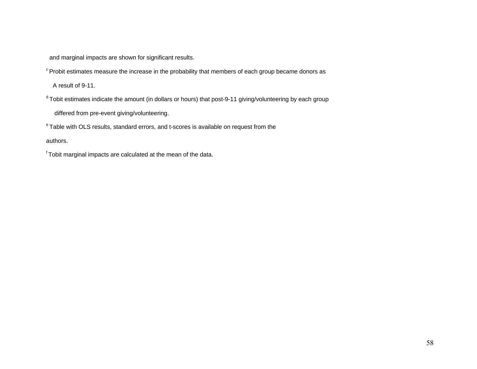and marginal impacts are shown for significant results.

<sup>c</sup> Probit estimates measure the increase in the probability that members of each group became donors as

A result of 9-11.

 $d$  Tobit estimates indicate the amount (in dollars or hours) that post-9-11 giving/volunteering by each group

differed from pre-event giving/volunteering.

e Table with OLS results, standard errors, and t-scores is available on request from the

authors.

f Tobit marginal impacts are calculated at the mean of the data.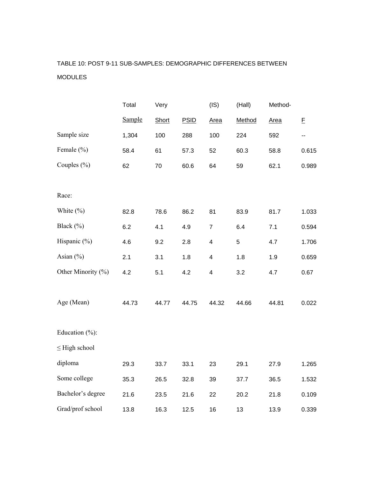# TABLE 10: POST 9-11 SUB-SAMPLES: DEMOGRAPHIC DIFFERENCES BETWEEN MODULES

|                     | Total  | Very  |             | (IS)                    | (Hall)     | Method- |       |
|---------------------|--------|-------|-------------|-------------------------|------------|---------|-------|
|                     | Sample | Short | <b>PSID</b> | Area                    | Method     | Area    | E     |
| Sample size         | 1,304  | 100   | 288         | 100                     | 224        | 592     | ۰.    |
| Female $(\% )$      | 58.4   | 61    | 57.3        | 52                      | 60.3       | 58.8    | 0.615 |
| Couples $(\% )$     | 62     | 70    | 60.6        | 64                      | 59         | 62.1    | 0.989 |
|                     |        |       |             |                         |            |         |       |
| Race:               |        |       |             |                         |            |         |       |
| White $(\% )$       | 82.8   | 78.6  | 86.2        | 81                      | 83.9       | 81.7    | 1.033 |
| Black (%)           | 6.2    | 4.1   | 4.9         | $\overline{7}$          | 6.4        | 7.1     | 0.594 |
| Hispanic (%)        | 4.6    | 9.2   | 2.8         | $\overline{\mathbf{4}}$ | $\sqrt{5}$ | 4.7     | 1.706 |
| Asian $(\% )$       | 2.1    | 3.1   | 1.8         | 4                       | 1.8        | 1.9     | 0.659 |
| Other Minority (%)  | 4.2    | 5.1   | 4.2         | $\overline{\mathbf{4}}$ | 3.2        | 4.7     | 0.67  |
|                     |        |       |             |                         |            |         |       |
| Age (Mean)          | 44.73  | 44.77 | 44.75       | 44.32                   | 44.66      | 44.81   | 0.022 |
|                     |        |       |             |                         |            |         |       |
| Education $(\% )$ : |        |       |             |                         |            |         |       |
| $\leq$ High school  |        |       |             |                         |            |         |       |
| diploma             | 29.3   | 33.7  | 33.1        | 23                      | 29.1       | 27.9    | 1.265 |
| Some college        | 35.3   | 26.5  | 32.8        | 39                      | 37.7       | 36.5    | 1.532 |
| Bachelor's degree   | 21.6   | 23.5  | 21.6        | 22                      | 20.2       | 21.8    | 0.109 |
| Grad/prof school    | 13.8   | 16.3  | 12.5        | 16                      | 13         | 13.9    | 0.339 |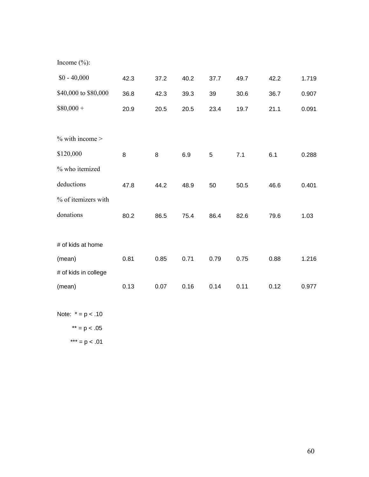Income  $(\% )$ :

| $$0 - 40,000$        | 42.3 | 37.2 | 40.2 | 37.7 | 49.7 | 42.2 | 1.719 |
|----------------------|------|------|------|------|------|------|-------|
| \$40,000 to \$80,000 | 36.8 | 42.3 | 39.3 | 39   | 30.6 | 36.7 | 0.907 |
| $$80,000 +$          | 20.9 | 20.5 | 20.5 | 23.4 | 19.7 | 21.1 | 0.091 |
|                      |      |      |      |      |      |      |       |
| $\%$ with income >   |      |      |      |      |      |      |       |
| \$120,000            | 8    | 8    | 6.9  | 5    | 7.1  | 6.1  | 0.288 |
| % who itemized       |      |      |      |      |      |      |       |
| deductions           | 47.8 | 44.2 | 48.9 | 50   | 50.5 | 46.6 | 0.401 |
| % of itemizers with  |      |      |      |      |      |      |       |
| donations            | 80.2 | 86.5 | 75.4 | 86.4 | 82.6 | 79.6 | 1.03  |
|                      |      |      |      |      |      |      |       |
| # of kids at home    |      |      |      |      |      |      |       |
| (mean)               | 0.81 | 0.85 | 0.71 | 0.79 | 0.75 | 0.88 | 1.216 |
| # of kids in college |      |      |      |      |      |      |       |
| (mean)               | 0.13 | 0.07 | 0.16 | 0.14 | 0.11 | 0.12 | 0.977 |

Note:  $* = p < .10$ 

 $**$  = p < .05 \*\*\* =  $p < .01$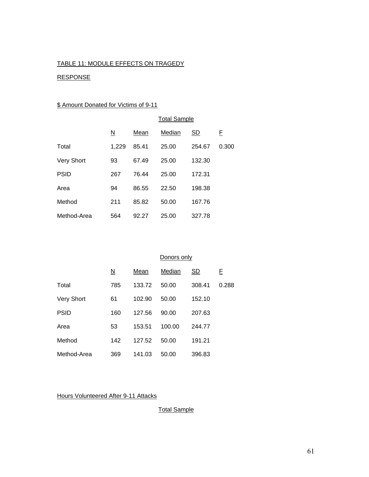#### TABLE 11: MODULE EFFECTS ON TRAGEDY

#### RESPONSE

#### \$ Amount Donated for Victims of 9-11

|                   | <b>Total Sample</b>      |       |        |           |       |  |  |  |
|-------------------|--------------------------|-------|--------|-----------|-------|--|--|--|
|                   | $\underline{\mathsf{N}}$ | Mean  | Median | <u>SD</u> | E     |  |  |  |
| Total             | 1.229                    | 85.41 | 25.00  | 254.67    | 0.300 |  |  |  |
| <b>Very Short</b> | 93                       | 67.49 | 25.00  | 132.30    |       |  |  |  |
| <b>PSID</b>       | 267                      | 76.44 | 25.00  | 172.31    |       |  |  |  |
| Area              | 94                       | 86.55 | 22.50  | 198.38    |       |  |  |  |
| Method            | 211                      | 85.82 | 50.00  | 167.76    |       |  |  |  |
| Method-Area       | 564                      | 92.27 | 25.00  | 327.78    |       |  |  |  |

#### Donors only

|                   | <u>N</u> | Mean   | Median | SD.    | F.    |
|-------------------|----------|--------|--------|--------|-------|
| Total             | 785      | 133.72 | 50.00  | 308.41 | 0.288 |
| <b>Very Short</b> | 61       | 102.90 | 50.00  | 152.10 |       |
| <b>PSID</b>       | 160      | 127.56 | 90.00  | 207.63 |       |
| Area              | 53       | 153.51 | 100.00 | 244.77 |       |
| Method            | 142      | 127.52 | 50.00  | 191.21 |       |
| Method-Area       | 369      | 141.03 | 50.00  | 396.83 |       |

Hours Volunteered After 9-11 Attacks

Total Sample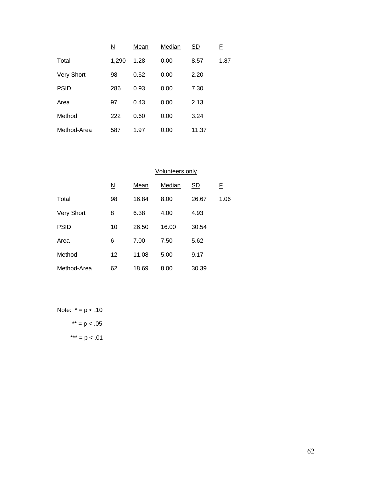|                   | <u>N</u> | Mean | Median | <u>SD</u> | E    |
|-------------------|----------|------|--------|-----------|------|
| Total             | 1,290    | 1.28 | 0.00   | 8.57      | 1.87 |
| <b>Very Short</b> | 98       | 0.52 | 0.00   | 2.20      |      |
| <b>PSID</b>       | 286      | 0.93 | 0.00   | 7.30      |      |
| Area              | 97       | 0.43 | 0.00   | 2.13      |      |
| Method            | 222      | 0.60 | 0.00   | 3.24      |      |
| Method-Area       | 587      | 1.97 | 0.00   | 11.37     |      |

|                   | Volunteers only          |       |        |           |      |  |
|-------------------|--------------------------|-------|--------|-----------|------|--|
|                   | $\underline{\mathsf{N}}$ | Mean  | Median | <u>SD</u> | E    |  |
| Total             | 98                       | 16.84 | 8.00   | 26.67     | 1.06 |  |
| <b>Very Short</b> | 8                        | 6.38  | 4.00   | 4.93      |      |  |
| <b>PSID</b>       | 10                       | 26.50 | 16.00  | 30.54     |      |  |
| Area              | 6                        | 7.00  | 7.50   | 5.62      |      |  |
| Method            | 12                       | 11.08 | 5.00   | 9.17      |      |  |
| Method-Area       | 62                       | 18.69 | 8.00   | 30.39     |      |  |

Note:  $* = p < .10$  $**$  = p < .05 \*\*\* =  $p < .01$